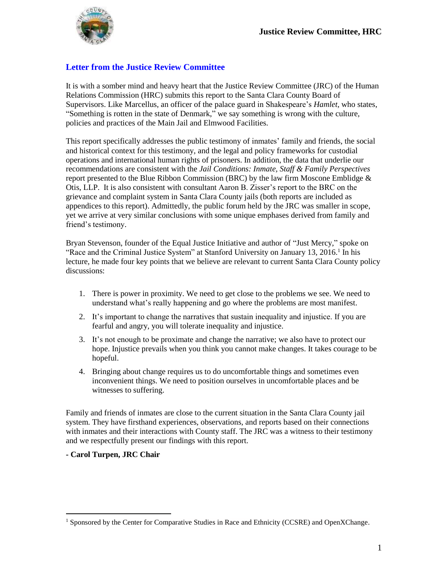

### **Letter from the Justice Review Committee**

It is with a somber mind and heavy heart that the Justice Review Committee (JRC) of the Human Relations Commission (HRC) submits this report to the Santa Clara County Board of Supervisors. Like Marcellus, an officer of the palace guard in Shakespeare's *Hamlet*, who states, "Something is rotten in the state of Denmark," we say something is wrong with the culture, policies and practices of the Main Jail and Elmwood Facilities.

This report specifically addresses the public testimony of inmates' family and friends, the social and historical context for this testimony, and the legal and policy frameworks for custodial operations and international human rights of prisoners. In addition, the data that underlie our recommendations are consistent with the *Jail Conditions: Inmate, Staff & Family Perspectives* report presented to the Blue Ribbon Commission (BRC) by the law firm Moscone Emblidge  $\&$ Otis, LLP. It is also consistent with consultant Aaron B. Zisser's report to the BRC on the grievance and complaint system in Santa Clara County jails (both reports are included as appendices to this report). Admittedly, the public forum held by the JRC was smaller in scope, yet we arrive at very similar conclusions with some unique emphases derived from family and friend's testimony.

Bryan Stevenson, founder of the Equal Justice Initiative and author of "Just Mercy," spoke on "Race and the Criminal Justice System" at Stanford University on January 13, 2016.<sup>1</sup> In his lecture, he made four key points that we believe are relevant to current Santa Clara County policy discussions:

- 1. There is power in proximity. We need to get close to the problems we see. We need to understand what's really happening and go where the problems are most manifest.
- 2. It's important to change the narratives that sustain inequality and injustice. If you are fearful and angry, you will tolerate inequality and injustice.
- 3. It's not enough to be proximate and change the narrative; we also have to protect our hope. Injustice prevails when you think you cannot make changes. It takes courage to be hopeful.
- 4. Bringing about change requires us to do uncomfortable things and sometimes even inconvenient things. We need to position ourselves in uncomfortable places and be witnesses to suffering.

Family and friends of inmates are close to the current situation in the Santa Clara County jail system. They have firsthand experiences, observations, and reports based on their connections with inmates and their interactions with County staff. The JRC was a witness to their testimony and we respectfully present our findings with this report.

#### **- Carol Turpen, JRC Chair**

<sup>&</sup>lt;sup>1</sup> Sponsored by the Center for Comparative Studies in Race and Ethnicity (CCSRE) and OpenXChange.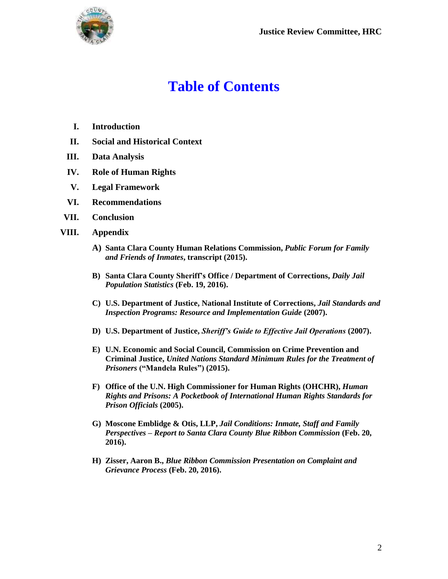

# **Table of Contents**

- **I. Introduction**
- **II. Social and Historical Context**
- **III. Data Analysis**
- **IV. Role of Human Rights**
- **V. Legal Framework**
- **VI. Recommendations**
- **VII. Conclusion**
- **VIII. Appendix**
	- **A) Santa Clara County Human Relations Commission,** *Public Forum for Family and Friends of Inmates***, transcript (2015).**
	- **B) Santa Clara County Sheriff's Office / Department of Corrections,** *Daily Jail Population Statistics* **(Feb. 19, 2016).**
	- **C) U.S. Department of Justice, National Institute of Corrections,** *Jail Standards and Inspection Programs: Resource and Implementation Guide* **(2007).**
	- **D) U.S. Department of Justice,** *Sheriff's Guide to Effective Jail Operations* **(2007).**
	- **E) U.N. Economic and Social Council, Commission on Crime Prevention and Criminal Justice,** *United Nations Standard Minimum Rules for the Treatment of Prisoners* **("Mandela Rules") (2015).**
	- **F) Office of the U.N. High Commissioner for Human Rights (OHCHR),** *Human Rights and Prisons: A Pocketbook of International Human Rights Standards for Prison Officials* **(2005).**
	- **G) Moscone Emblidge & Otis, LLP,** *Jail Conditions: Inmate, Staff and Family Perspectives – Report to Santa Clara County Blue Ribbon Commission* **(Feb. 20, 2016).**
	- **H) Zisser, Aaron B.,** *Blue Ribbon Commission Presentation on Complaint and Grievance Process* **(Feb. 20, 2016).**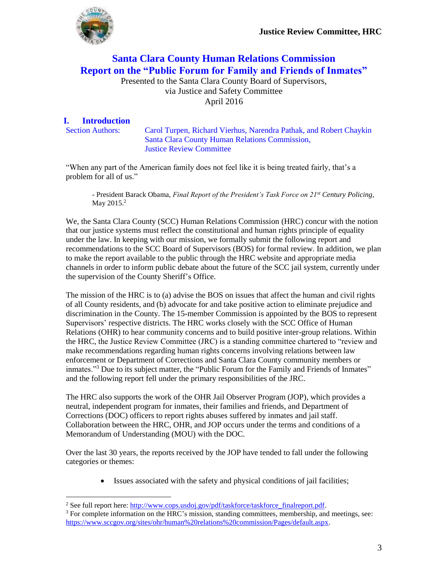

## **Santa Clara County Human Relations Commission Report on the "Public Forum for Family and Friends of Inmates"**

Presented to the Santa Clara County Board of Supervisors, via Justice and Safety Committee April 2016

#### **I. Introduction**

 $\overline{a}$ 

Section Authors: Carol Turpen, Richard Vierhus, Narendra Pathak, and Robert Chaykin Santa Clara County Human Relations Commission, Justice Review Committee

"When any part of the American family does not feel like it is being treated fairly, that's a problem for all of us."

- President Barack Obama, *Final Report of the President's Task Force on 21st Century Policing*, May 2015.<sup>2</sup>

We, the Santa Clara County (SCC) Human Relations Commission (HRC) concur with the notion that our justice systems must reflect the constitutional and human rights principle of equality under the law. In keeping with our mission, we formally submit the following report and recommendations to the SCC Board of Supervisors (BOS) for formal review. In addition, we plan to make the report available to the public through the HRC website and appropriate media channels in order to inform public debate about the future of the SCC jail system, currently under the supervision of the County Sheriff's Office.

The mission of the HRC is to (a) advise the BOS on issues that affect the human and civil rights of all County residents, and (b) advocate for and take positive action to eliminate prejudice and discrimination in the County. The 15-member Commission is appointed by the BOS to represent Supervisors' respective districts. The HRC works closely with the SCC Office of Human Relations (OHR) to hear community concerns and to build positive inter-group relations. Within the HRC, the Justice Review Committee (JRC) is a standing committee chartered to "review and make recommendations regarding human rights concerns involving relations between law enforcement or Department of Corrections and Santa Clara County community members or inmates."<sup>3</sup> Due to its subject matter, the "Public Forum for the Family and Friends of Inmates" and the following report fell under the primary responsibilities of the JRC.

The HRC also supports the work of the OHR Jail Observer Program (JOP), which provides a neutral, independent program for inmates, their families and friends, and Department of Corrections (DOC) officers to report rights abuses suffered by inmates and jail staff. Collaboration between the HRC, OHR, and JOP occurs under the terms and conditions of a Memorandum of Understanding (MOU) with the DOC.

Over the last 30 years, the reports received by the JOP have tended to fall under the following categories or themes:

Issues associated with the safety and physical conditions of jail facilities;

<sup>&</sup>lt;sup>2</sup> See full report here: [http://www.cops.usdoj.gov/pdf/taskforce/taskforce\\_finalreport.pdf.](http://www.cops.usdoj.gov/pdf/taskforce/taskforce_finalreport.pdf)

 $3$  For complete information on the HRC's mission, standing committees, membership, and meetings, see: [https://www.sccgov.org/sites/ohr/human%20relations%20commission/Pages/default.aspx.](https://www.sccgov.org/sites/ohr/human%20relations%20commission/Pages/default.aspx)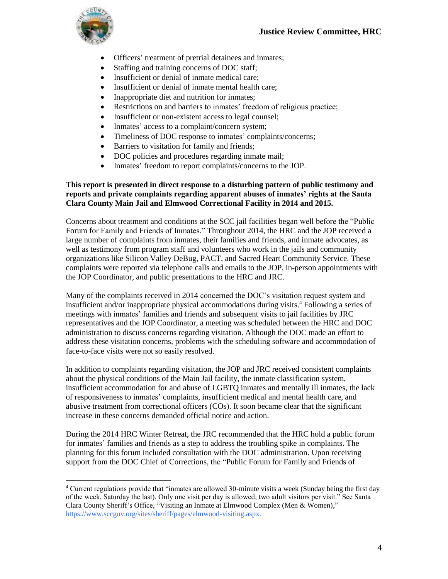

 $\overline{a}$ 

- Officers' treatment of pretrial detainees and inmates;
- Staffing and training concerns of DOC staff;
- Insufficient or denial of inmate medical care:
- Insufficient or denial of inmate mental health care;
- Inappropriate diet and nutrition for inmates;
- Restrictions on and barriers to inmates' freedom of religious practice;
- Insufficient or non-existent access to legal counsel;
- Inmates' access to a complaint/concern system;
- Timeliness of DOC response to inmates' complaints/concerns;
- Barriers to visitation for family and friends;
- DOC policies and procedures regarding inmate mail;
- Inmates' freedom to report complaints/concerns to the JOP.

#### **This report is presented in direct response to a disturbing pattern of public testimony and reports and private complaints regarding apparent abuses of inmates' rights at the Santa Clara County Main Jail and Elmwood Correctional Facility in 2014 and 2015.**

Concerns about treatment and conditions at the SCC jail facilities began well before the "Public Forum for Family and Friends of Inmates." Throughout 2014, the HRC and the JOP received a large number of complaints from inmates, their families and friends, and inmate advocates, as well as testimony from program staff and volunteers who work in the jails and community organizations like Silicon Valley DeBug, PACT, and Sacred Heart Community Service. These complaints were reported via telephone calls and emails to the JOP, in-person appointments with the JOP Coordinator, and public presentations to the HRC and JRC.

Many of the complaints received in 2014 concerned the DOC's visitation request system and insufficient and/or inappropriate physical accommodations during visits.<sup>4</sup> Following a series of meetings with inmates' families and friends and subsequent visits to jail facilities by JRC representatives and the JOP Coordinator, a meeting was scheduled between the HRC and DOC administration to discuss concerns regarding visitation. Although the DOC made an effort to address these visitation concerns, problems with the scheduling software and accommodation of face-to-face visits were not so easily resolved.

In addition to complaints regarding visitation, the JOP and JRC received consistent complaints about the physical conditions of the Main Jail facility, the inmate classification system, insufficient accommodation for and abuse of LGBTQ inmates and mentally ill inmates, the lack of responsiveness to inmates' complaints, insufficient medical and mental health care, and abusive treatment from correctional officers (COs). It soon became clear that the significant increase in these concerns demanded official notice and action.

During the 2014 HRC Winter Retreat, the JRC recommended that the HRC hold a public forum for inmates' families and friends as a step to address the troubling spike in complaints. The planning for this forum included consultation with the DOC administration. Upon receiving support from the DOC Chief of Corrections, the "Public Forum for Family and Friends of

<sup>4</sup> Current regulations provide that "inmates are allowed 30-minute visits a week (Sunday being the first day of the week, Saturday the last). Only one visit per day is allowed; two adult visitors per visit." See Santa Clara County Sheriff's Office, "Visiting an Inmate at Elmwood Complex (Men & Women)," [https://www.sccgov.org/sites/sheriff/pages/elmwood-visiting.aspx.](https://www.sccgov.org/sites/sheriff/pages/elmwood-visiting.aspx)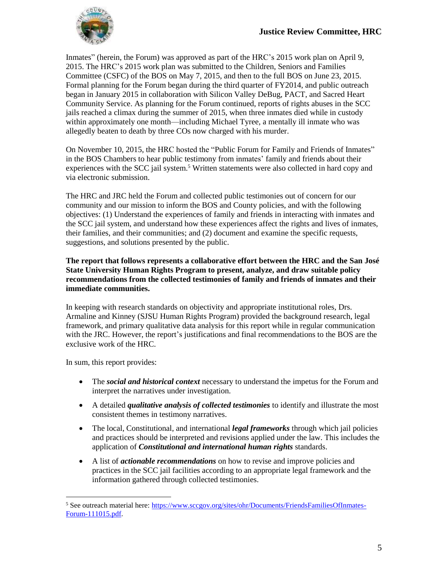

Inmates" (herein, the Forum) was approved as part of the HRC's 2015 work plan on April 9, 2015. The HRC's 2015 work plan was submitted to the Children, Seniors and Families Committee (CSFC) of the BOS on May 7, 2015, and then to the full BOS on June 23, 2015. Formal planning for the Forum began during the third quarter of FY2014, and public outreach began in January 2015 in collaboration with Silicon Valley DeBug, PACT, and Sacred Heart Community Service. As planning for the Forum continued, reports of rights abuses in the SCC jails reached a climax during the summer of 2015, when three inmates died while in custody within approximately one month—including Michael Tyree, a mentally ill inmate who was allegedly beaten to death by three COs now charged with his murder.

On November 10, 2015, the HRC hosted the "Public Forum for Family and Friends of Inmates" in the BOS Chambers to hear public testimony from inmates' family and friends about their experiences with the SCC jail system.<sup>5</sup> Written statements were also collected in hard copy and via electronic submission.

The HRC and JRC held the Forum and collected public testimonies out of concern for our community and our mission to inform the BOS and County policies, and with the following objectives: (1) Understand the experiences of family and friends in interacting with inmates and the SCC jail system, and understand how these experiences affect the rights and lives of inmates, their families, and their communities; and (2) document and examine the specific requests, suggestions, and solutions presented by the public.

**The report that follows represents a collaborative effort between the HRC and the San José State University Human Rights Program to present, analyze, and draw suitable policy recommendations from the collected testimonies of family and friends of inmates and their immediate communities.** 

In keeping with research standards on objectivity and appropriate institutional roles, Drs. Armaline and Kinney (SJSU Human Rights Program) provided the background research, legal framework, and primary qualitative data analysis for this report while in regular communication with the JRC. However, the report's justifications and final recommendations to the BOS are the exclusive work of the HRC.

In sum, this report provides:

- The *social and historical context* necessary to understand the impetus for the Forum and interpret the narratives under investigation.
- A detailed *qualitative analysis of collected testimonies* to identify and illustrate the most consistent themes in testimony narratives.
- The local, Constitutional, and international *legal frameworks* through which jail policies and practices should be interpreted and revisions applied under the law. This includes the application of *Constitutional and international human rights* standards.
- A list of *actionable recommendations* on how to revise and improve policies and practices in the SCC jail facilities according to an appropriate legal framework and the information gathered through collected testimonies.

<sup>5</sup> See outreach material here: [https://www.sccgov.org/sites/ohr/Documents/FriendsFamiliesOfInmates-](https://www.sccgov.org/sites/ohr/Documents/FriendsFamiliesOfInmates-Forum-111015.pdf)[Forum-111015.pdf.](https://www.sccgov.org/sites/ohr/Documents/FriendsFamiliesOfInmates-Forum-111015.pdf)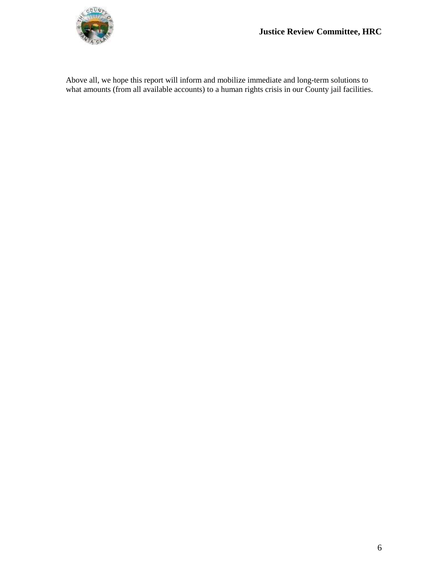

Above all, we hope this report will inform and mobilize immediate and long-term solutions to what amounts (from all available accounts) to a human rights crisis in our County jail facilities.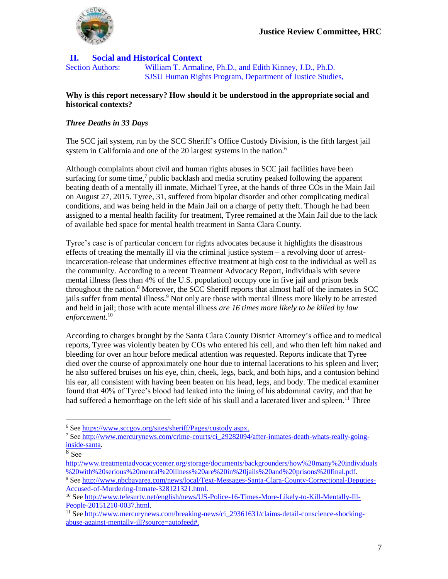

#### **II. Social and Historical Context**

Section Authors: William T. Armaline, Ph.D., and Edith Kinney, J.D., Ph.D. SJSU Human Rights Program, Department of Justice Studies,

#### **Why is this report necessary? How should it be understood in the appropriate social and historical contexts?**

#### *Three Deaths in 33 Days*

The SCC jail system, run by the SCC Sheriff's Office Custody Division, is the fifth largest jail system in California and one of the 20 largest systems in the nation.<sup>6</sup>

Although complaints about civil and human rights abuses in SCC jail facilities have been surfacing for some time,<sup>7</sup> public backlash and media scrutiny peaked following the apparent beating death of a mentally ill inmate, Michael Tyree, at the hands of three COs in the Main Jail on August 27, 2015. Tyree, 31, suffered from bipolar disorder and other complicating medical conditions, and was being held in the Main Jail on a charge of petty theft. Though he had been assigned to a mental health facility for treatment, Tyree remained at the Main Jail due to the lack of available bed space for mental health treatment in Santa Clara County.

Tyree's case is of particular concern for rights advocates because it highlights the disastrous effects of treating the mentally ill via the criminal justice system – a revolving door of arrestincarceration-release that undermines effective treatment at high cost to the individual as well as the community. According to a recent Treatment Advocacy Report, individuals with severe mental illness (less than 4% of the U.S. population) occupy one in five jail and prison beds throughout the nation. <sup>8</sup> Moreover, the SCC Sheriff reports that almost half of the inmates in SCC jails suffer from mental illness.<sup>9</sup> Not only are those with mental illness more likely to be arrested and held in jail; those with acute mental illness *are 16 times more likely to be killed by law enforcement*. 10

According to charges brought by the Santa Clara County District Attorney's office and to medical reports, Tyree was violently beaten by COs who entered his cell, and who then left him naked and bleeding for over an hour before medical attention was requested. Reports indicate that Tyree died over the course of approximately one hour due to internal lacerations to his spleen and liver; he also suffered bruises on his eye, chin, cheek, legs, back, and both hips, and a contusion behind his ear, all consistent with having been beaten on his head, legs, and body. The medical examiner found that 40% of Tyree's blood had leaked into the lining of his abdominal cavity, and that he had suffered a hemorrhage on the left side of his skull and a lacerated liver and spleen.<sup>11</sup> Three

<sup>6</sup> Se[e https://www.sccgov.org/sites/sheriff/Pages/custody.aspx.](https://www.sccgov.org/sites/sheriff/Pages/custody.aspx)

<sup>7</sup> Se[e http://www.mercurynews.com/crime-courts/ci\\_29282094/after-inmates-death-whats-really-going](http://www.mercurynews.com/crime-courts/ci_29282094/after-inmates-death-whats-really-going-inside-santa)[inside-santa.](http://www.mercurynews.com/crime-courts/ci_29282094/after-inmates-death-whats-really-going-inside-santa)

<sup>8</sup> See

[http://www.treatmentadvocacycenter.org/storage/documents/backgrounders/how%20many%20individuals](http://www.treatmentadvocacycenter.org/storage/documents/backgrounders/how%20many%20individuals%20with%20serious%20mental%20illness%20are%20in%20jails%20and%20prisons%20final.pdf) [%20with%20serious%20mental%20illness%20are%20in%20jails%20and%20prisons%20final.pdf.](http://www.treatmentadvocacycenter.org/storage/documents/backgrounders/how%20many%20individuals%20with%20serious%20mental%20illness%20are%20in%20jails%20and%20prisons%20final.pdf)

<sup>&</sup>lt;sup>9</sup> Se[e http://www.nbcbayarea.com/news/local/Text-Messages-Santa-Clara-County-Correctional-Deputies-](http://www.nbcbayarea.com/news/local/Text-Messages-Santa-Clara-County-Correctional-Deputies-Accused-of-Murdering-Inmate-328121321.html)[Accused-of-Murdering-Inmate-328121321.html.](http://www.nbcbayarea.com/news/local/Text-Messages-Santa-Clara-County-Correctional-Deputies-Accused-of-Murdering-Inmate-328121321.html)

<sup>&</sup>lt;sup>10</sup> See [http://www.telesurtv.net/english/news/US-Police-16-Times-More-Likely-to-Kill-Mentally-Ill-](http://www.telesurtv.net/english/news/US-Police-16-Times-More-Likely-to-Kill-Mentally-Ill-People-20151210-0037.html)[People-20151210-0037.html.](http://www.telesurtv.net/english/news/US-Police-16-Times-More-Likely-to-Kill-Mentally-Ill-People-20151210-0037.html)

<sup>&</sup>lt;sup>11</sup> See [http://www.mercurynews.com/breaking-news/ci\\_29361631/claims-detail-conscience-shocking](http://www.mercurynews.com/breaking-news/ci_29361631/claims-detail-conscience-shocking-abuse-against-mentally-ill?source=autofeed)[abuse-against-mentally-ill?source=autofeed#.](http://www.mercurynews.com/breaking-news/ci_29361631/claims-detail-conscience-shocking-abuse-against-mentally-ill?source=autofeed)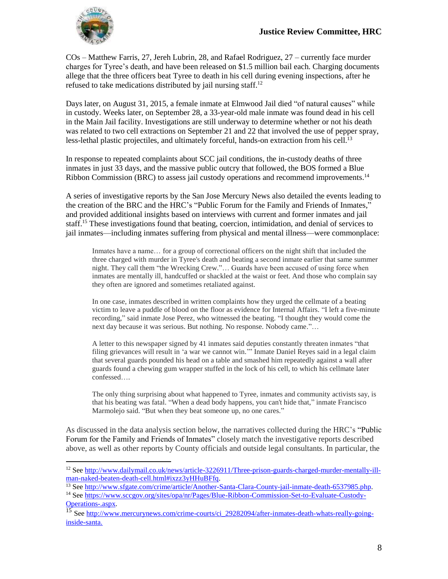

 $\overline{a}$ 

COs – Matthew Farris, 27, Jereh Lubrin, 28, and Rafael Rodriguez, 27 – currently face murder charges for Tyree's death, and have been released on \$1.5 million bail each. Charging documents allege that the three officers beat Tyree to death in his cell during evening inspections, after he refused to take medications distributed by jail nursing staff.<sup>12</sup>

Days later, on August 31, 2015, a female inmate at Elmwood Jail died "of natural causes" while in custody. Weeks later, on September 28, a 33-year-old male inmate was found dead in his cell in the Main Jail facility. Investigations are still underway to determine whether or not his death was related to two cell extractions on September 21 and 22 that involved the use of pepper spray, less-lethal plastic projectiles, and ultimately forceful, hands-on extraction from his cell.<sup>13</sup>

In response to repeated complaints about SCC jail conditions, the in-custody deaths of three inmates in just 33 days, and the massive public outcry that followed, the BOS formed a Blue Ribbon Commission (BRC) to assess jail custody operations and recommend improvements.<sup>14</sup>

A series of investigative reports by the San Jose Mercury News also detailed the events leading to the creation of the BRC and the HRC's "Public Forum for the Family and Friends of Inmates," and provided additional insights based on interviews with current and former inmates and jail staff.<sup>15</sup> These investigations found that beating, coercion, intimidation, and denial of services to jail inmates—including inmates suffering from physical and mental illness—were commonplace:

Inmates have a name... for a group of correctional officers on the night shift that included the three charged with murder in Tyree's death and beating a second inmate earlier that same summer night. They call them "the Wrecking Crew."… Guards have been accused of using force when inmates are mentally ill, handcuffed or shackled at the waist or feet. And those who complain say they often are ignored and sometimes retaliated against.

In one case, inmates described in written complaints how they urged the cellmate of a beating victim to leave a puddle of blood on the floor as evidence for Internal Affairs. "I left a five-minute recording," said inmate Jose Perez, who witnessed the beating. "I thought they would come the next day because it was serious. But nothing. No response. Nobody came."…

A letter to this newspaper signed by 41 inmates said deputies constantly threaten inmates "that filing grievances will result in 'a war we cannot win.'" Inmate Daniel Reyes said in a legal claim that several guards pounded his head on a table and smashed him repeatedly against a wall after guards found a chewing gum wrapper stuffed in the lock of his cell, to which his cellmate later confessed….

The only thing surprising about what happened to Tyree, inmates and community activists say, is that his beating was fatal. "When a dead body happens, you can't hide that," inmate Francisco Marmolejo said. "But when they beat someone up, no one cares."

As discussed in the data analysis section below, the narratives collected during the HRC's "Public Forum for the Family and Friends of Inmates" closely match the investigative reports described above, as well as other reports by County officials and outside legal consultants. In particular, the

<sup>&</sup>lt;sup>12</sup> See [http://www.dailymail.co.uk/news/article-3226911/Three-prison-guards-charged-murder-mentally-ill](http://www.dailymail.co.uk/news/article-3226911/Three-prison-guards-charged-murder-mentally-ill-man-naked-beaten-death-cell.html#ixzz3yHHuBFfq)[man-naked-beaten-death-cell.html#ixzz3yHHuBFfq.](http://www.dailymail.co.uk/news/article-3226911/Three-prison-guards-charged-murder-mentally-ill-man-naked-beaten-death-cell.html#ixzz3yHHuBFfq)

<sup>&</sup>lt;sup>13</sup> See [http://www.sfgate.com/crime/article/Another-Santa-Clara-County-jail-inmate-death-6537985.php.](http://www.sfgate.com/crime/article/Another-Santa-Clara-County-jail-inmate-death-6537985.php)

<sup>14</sup> See [https://www.sccgov.org/sites/opa/nr/Pages/Blue-Ribbon-Commission-Set-to-Evaluate-Custody-](https://www.sccgov.org/sites/opa/nr/Pages/Blue-Ribbon-Commission-Set-to-Evaluate-Custody-Operations-.aspx)[Operations-.aspx.](https://www.sccgov.org/sites/opa/nr/Pages/Blue-Ribbon-Commission-Set-to-Evaluate-Custody-Operations-.aspx)

<sup>&</sup>lt;sup>15</sup> See [http://www.mercurynews.com/crime-courts/ci\\_29282094/after-inmates-death-whats-really-going](http://www.mercurynews.com/crime-courts/ci_29282094/after-inmates-death-whats-really-going-inside-santa)[inside-santa.](http://www.mercurynews.com/crime-courts/ci_29282094/after-inmates-death-whats-really-going-inside-santa)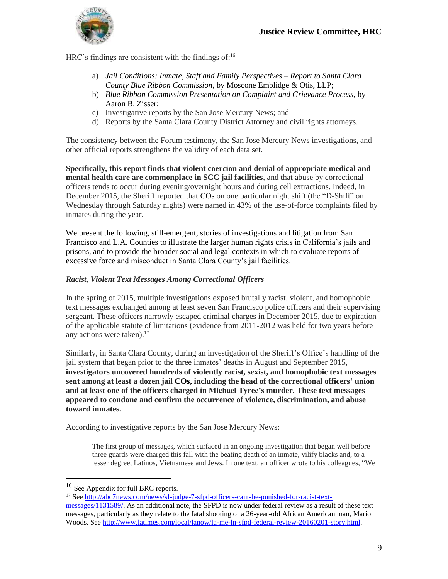

HRC's findings are consistent with the findings of:<sup>16</sup>

- a) *Jail Conditions: Inmate, Staff and Family Perspectives Report to Santa Clara County Blue Ribbon Commission*, by Moscone Emblidge & Otis, LLP;
- b) *Blue Ribbon Commission Presentation on Complaint and Grievance Process*, by Aaron B. Zisser;
- c) Investigative reports by the San Jose Mercury News; and
- d) Reports by the Santa Clara County District Attorney and civil rights attorneys.

The consistency between the Forum testimony, the San Jose Mercury News investigations, and other official reports strengthens the validity of each data set.

**Specifically, this report finds that violent coercion and denial of appropriate medical and mental health care are commonplace in SCC jail facilities**, and that abuse by correctional officers tends to occur during evening/overnight hours and during cell extractions. Indeed, in December 2015, the Sheriff reported that COs on one particular night shift (the "D-Shift" on Wednesday through Saturday nights) were named in 43% of the use-of-force complaints filed by inmates during the year.

We present the following, still-emergent, stories of investigations and litigation from San Francisco and L.A. Counties to illustrate the larger human rights crisis in California's jails and prisons, and to provide the broader social and legal contexts in which to evaluate reports of excessive force and misconduct in Santa Clara County's jail facilities.

#### *Racist, Violent Text Messages Among Correctional Officers*

In the spring of 2015, multiple investigations exposed brutally racist, violent, and homophobic text messages exchanged among at least seven San Francisco police officers and their supervising sergeant. These officers narrowly escaped criminal charges in December 2015, due to expiration of the applicable statute of limitations (evidence from 2011-2012 was held for two years before any actions were taken). 17

Similarly, in Santa Clara County, during an investigation of the Sheriff's Office's handling of the jail system that began prior to the three inmates' deaths in August and September 2015, **investigators uncovered hundreds of violently racist, sexist, and homophobic text messages sent among at least a dozen jail COs, including the head of the correctional officers' union and at least one of the officers charged in Michael Tyree's murder. These text messages appeared to condone and confirm the occurrence of violence, discrimination, and abuse toward inmates.**

According to investigative reports by the San Jose Mercury News:

The first group of messages, which surfaced in an ongoing investigation that began well before three guards were charged this fall with the beating death of an inmate, vilify blacks and, to a lesser degree, Latinos, Vietnamese and Jews. In one text, an officer wrote to his colleagues, "We

<sup>&</sup>lt;sup>16</sup> See Appendix for full BRC reports.

<sup>17</sup> See [http://abc7news.com/news/sf-judge-7-sfpd-officers-cant-be-punished-for-racist-text](http://abc7news.com/news/sf-judge-7-sfpd-officers-cant-be-punished-for-racist-text-messages/1131589/)[messages/1131589/.](http://abc7news.com/news/sf-judge-7-sfpd-officers-cant-be-punished-for-racist-text-messages/1131589/) As an additional note, the SFPD is now under federal review as a result of these text messages, particularly as they relate to the fatal shooting of a 26-year-old African American man, Mario Woods. See [http://www.latimes.com/local/lanow/la-me-ln-sfpd-federal-review-20160201-story.html.](http://www.latimes.com/local/lanow/la-me-ln-sfpd-federal-review-20160201-story.html)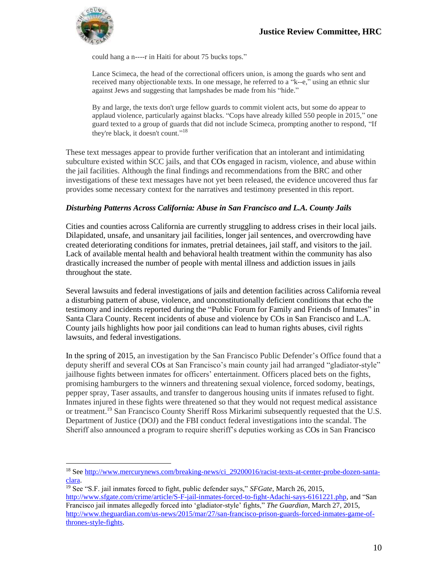

 $\overline{a}$ 

could hang a n----r in Haiti for about 75 bucks tops."

Lance Scimeca, the head of the correctional officers union, is among the guards who sent and received many objectionable texts. In one message, he referred to a "k--e," using an ethnic slur against Jews and suggesting that lampshades be made from his "hide."

By and large, the texts don't urge fellow guards to commit violent acts, but some do appear to applaud violence, particularly against blacks. "Cops have already killed 550 people in 2015," one guard texted to a group of guards that did not include Scimeca, prompting another to respond, "If they're black, it doesn't count."<sup>18</sup>

These text messages appear to provide further verification that an intolerant and intimidating subculture existed within SCC jails, and that COs engaged in racism, violence, and abuse within the jail facilities. Although the final findings and recommendations from the BRC and other investigations of these text messages have not yet been released, the evidence uncovered thus far provides some necessary context for the narratives and testimony presented in this report.

#### *Disturbing Patterns Across California: Abuse in San Francisco and L.A. County Jails*

Cities and counties across California are currently struggling to address crises in their local jails. Dilapidated, unsafe, and unsanitary jail facilities, longer jail sentences, and overcrowding have created deteriorating conditions for inmates, pretrial detainees, jail staff, and visitors to the jail. Lack of available mental health and behavioral health treatment within the community has also drastically increased the number of people with mental illness and addiction issues in jails throughout the state.

Several lawsuits and federal investigations of jails and detention facilities across California reveal a disturbing pattern of abuse, violence, and unconstitutionally deficient conditions that echo the testimony and incidents reported during the "Public Forum for Family and Friends of Inmates" in Santa Clara County. Recent incidents of abuse and violence by COs in San Francisco and L.A. County jails highlights how poor jail conditions can lead to human rights abuses, civil rights lawsuits, and federal investigations.

In the spring of 2015, an investigation by the San Francisco Public Defender's Office found that a deputy sheriff and several COs at San Francisco's main county jail had arranged "gladiator-style" jailhouse fights between inmates for officers' entertainment. Officers placed bets on the fights, promising hamburgers to the winners and threatening sexual violence, forced sodomy, beatings, pepper spray, Taser assaults, and transfer to dangerous housing units if inmates refused to fight. Inmates injured in these fights were threatened so that they would not request medical assistance or treatment.<sup>19</sup> San Francisco County Sheriff Ross Mirkarimi subsequently requested that the U.S. Department of Justice (DOJ) and the FBI conduct federal investigations into the scandal. The Sheriff also announced a program to require sheriff's deputies working as COs in San Francisco

<sup>&</sup>lt;sup>18</sup> See [http://www.mercurynews.com/breaking-news/ci\\_29200016/racist-texts-at-center-probe-dozen-santa](http://www.mercurynews.com/breaking-news/ci_29200016/racist-texts-at-center-probe-dozen-santa-clara)[clara.](http://www.mercurynews.com/breaking-news/ci_29200016/racist-texts-at-center-probe-dozen-santa-clara) 

<sup>19</sup> See "S.F. jail inmates forced to fight, public defender says," *SFGate*, March 26, 2015, [http://www.sfgate.com/crime/article/S-F-jail-inmates-forced-to-fight-Adachi-says-6161221.php,](http://www.sfgate.com/crime/article/S-F-jail-inmates-forced-to-fight-Adachi-says-6161221.php) and "San Francisco jail inmates allegedly forced into 'gladiator-style' fights," *The Guardian*, March 27, 2015, [http://www.theguardian.com/us-news/2015/mar/27/san-francisco-prison-guards-forced-inmates-game-of](http://www.theguardian.com/us-news/2015/mar/27/san-francisco-prison-guards-forced-inmates-game-of-thrones-style-fights)[thrones-style-fights.](http://www.theguardian.com/us-news/2015/mar/27/san-francisco-prison-guards-forced-inmates-game-of-thrones-style-fights)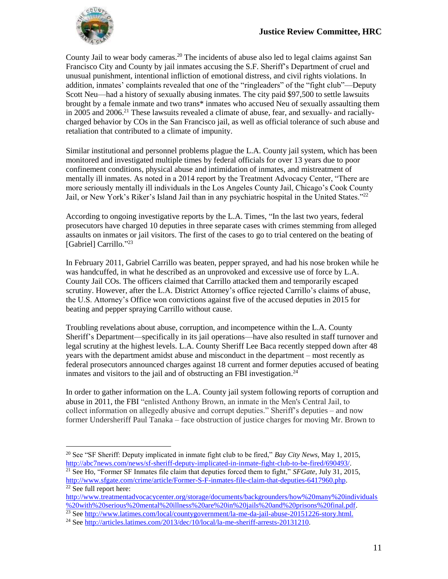

 $\overline{a}$ 

County Jail to wear body cameras.<sup>20</sup> The incidents of abuse also led to legal claims against San Francisco City and County by jail inmates accusing the S.F. Sheriff's Department of cruel and unusual punishment, intentional infliction of emotional distress, and civil rights violations. In addition, inmates' complaints revealed that one of the "ringleaders" of the "fight club"—Deputy Scott Neu—had a history of sexually abusing inmates. The city paid \$97,500 to settle lawsuits brought by a female inmate and two trans\* inmates who accused Neu of sexually assaulting them in 2005 and 2006.<sup>21</sup> These lawsuits revealed a climate of abuse, fear, and sexually- and raciallycharged behavior by COs in the San Francisco jail, as well as official tolerance of such abuse and retaliation that contributed to a climate of impunity.

Similar institutional and personnel problems plague the L.A. County jail system, which has been monitored and investigated multiple times by federal officials for over 13 years due to poor confinement conditions, physical abuse and intimidation of inmates, and mistreatment of mentally ill inmates. As noted in a 2014 report by the Treatment Advocacy Center, "There are more seriously mentally ill individuals in the Los Angeles County Jail, Chicago's Cook County Jail, or New York's Riker's Island Jail than in any psychiatric hospital in the United States."<sup>22</sup>

According to ongoing investigative reports by the L.A. Times, "In the last two years, federal prosecutors have charged 10 deputies in three separate cases with crimes stemming from alleged assaults on inmates or jail visitors. The first of the cases to go to trial centered on the beating of [Gabriel] Carrillo."<sup>23</sup>

In February 2011, Gabriel Carrillo was beaten, pepper sprayed, and had his nose broken while he was handcuffed, in what he described as an unprovoked and excessive use of force by L.A. County Jail COs. The officers claimed that Carrillo attacked them and temporarily escaped scrutiny. However, after the L.A. District Attorney's office rejected Carrillo's claims of abuse, the U.S. Attorney's Office won convictions against five of the accused deputies in 2015 for beating and pepper spraying Carrillo without cause.

Troubling revelations about abuse, corruption, and incompetence within the L.A. County Sheriff's Department—specifically in its jail operations—have also resulted in staff turnover and legal scrutiny at the highest levels. L.A. County Sheriff Lee Baca recently stepped down after 48 years with the department amidst abuse and misconduct in the department – most recently as federal prosecutors announced charges against 18 current and former deputies accused of beating inmates and visitors to the jail and of obstructing an FBI investigation.<sup>24</sup>

In order to gather information on the L.A. County jail system following reports of corruption and abuse in 2011, the FBI "enlisted Anthony Brown, an inmate in the Men's Central Jail, to collect information on allegedly abusive and corrupt deputies." Sheriff's deputies – and now former Undersheriff Paul Tanaka – face obstruction of justice charges for moving Mr. Brown to

<sup>20</sup> See "SF Sheriff: Deputy implicated in inmate fight club to be fired," *Bay City News*, May 1, 2015, [http://abc7news.com/news/sf-sheriff-deputy-implicated-in-inmate-fight-club-to-be-fired/690493/.](http://abc7news.com/news/sf-sheriff-deputy-implicated-in-inmate-fight-club-to-be-fired/690493/) <sup>21</sup> See Ho, "Former SF Inmates file claim that deputies forced them to fight," *SFGate*, July 31, 2015,

[http://www.sfgate.com/crime/article/Former-S-F-inmates-file-claim-that-deputies-6417960.php.](http://www.sfgate.com/crime/article/Former-S-F-inmates-file-claim-that-deputies-6417960.php)  $\overline{^{22}}$  See full report here:

[http://www.treatmentadvocacycenter.org/storage/documents/backgrounders/how%20many%20individuals](http://www.treatmentadvocacycenter.org/storage/documents/backgrounders/how%20many%20individuals%20with%20serious%20mental%20illness%20are%20in%20jails%20and%20prisons%20final.pdf) [%20with%20serious%20mental%20illness%20are%20in%20jails%20and%20prisons%20final.pdf.](http://www.treatmentadvocacycenter.org/storage/documents/backgrounders/how%20many%20individuals%20with%20serious%20mental%20illness%20are%20in%20jails%20and%20prisons%20final.pdf)

<sup>&</sup>lt;sup>23</sup> See [http://www.latimes.com/local/countygovernment/la-me-da-jail-abuse-20151226-story.html.](http://www.latimes.com/local/countygovernment/la-me-da-jail-abuse-20151226-story.html)

<sup>&</sup>lt;sup>24</sup> See [http://articles.latimes.com/2013/dec/10/local/la-me-sheriff-arrests-20131210.](http://articles.latimes.com/2013/dec/10/local/la-me-sheriff-arrests-20131210)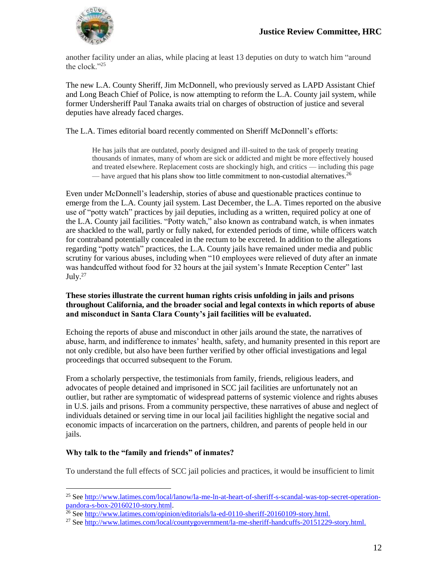

another facility under an alias, while placing at least 13 deputies on duty to watch him "around the clock."<sup>25</sup>

The new L.A. County Sheriff, Jim McDonnell, who previously served as LAPD Assistant Chief and Long Beach Chief of Police, is now attempting to reform the L.A. County jail system, while former Undersheriff Paul Tanaka awaits trial on charges of obstruction of justice and several deputies have already faced charges.

The L.A. Times editorial board recently commented on Sheriff McDonnell's efforts:

He has jails that are outdated, poorly designed and ill-suited to the task of properly treating thousands of inmates, many of whom are sick or addicted and might be more effectively housed and treated elsewhere. Replacement costs are shockingly high, and critics — including this page — have argued that [his plans show too little commitment](http://www.latimes.com/opinion/editorials/la-ed-0828-jail-20150828-story.html) to non-custodial alternatives.<sup>26</sup>

Even under McDonnell's leadership, stories of abuse and questionable practices continue to emerge from the L.A. County jail system. Last December, the L.A. Times reported on the abusive use of "potty watch" practices by jail deputies, including as a written, required policy at one of the L.A. County jail facilities. "Potty watch," also known as contraband watch, is when inmates are shackled to the wall, partly or fully naked, for extended periods of time, while officers watch for contraband potentially concealed in the rectum to be excreted. In addition to the allegations regarding "potty watch" practices, the L.A. County jails have remained under media and public scrutiny for various abuses, including when "10 employees were relieved of duty after an inmate was handcuffed without food for 32 hours at the jail system's Inmate Reception Center" last July.<sup>27</sup>

#### **These stories illustrate the current human rights crisis unfolding in jails and prisons throughout California, and the broader social and legal contexts in which reports of abuse and misconduct in Santa Clara County's jail facilities will be evaluated.**

Echoing the reports of abuse and misconduct in other jails around the state, the narratives of abuse, harm, and indifference to inmates' health, safety, and humanity presented in this report are not only credible, but also have been further verified by other official investigations and legal proceedings that occurred subsequent to the Forum.

From a scholarly perspective, the testimonials from family, friends, religious leaders, and advocates of people detained and imprisoned in SCC jail facilities are unfortunately not an outlier, but rather are symptomatic of widespread patterns of systemic violence and rights abuses in U.S. jails and prisons. From a community perspective, these narratives of abuse and neglect of individuals detained or serving time in our local jail facilities highlight the negative social and economic impacts of incarceration on the partners, children, and parents of people held in our jails.

### **Why talk to the "family and friends" of inmates?**

 $\overline{a}$ 

To understand the full effects of SCC jail policies and practices, it would be insufficient to limit

<sup>&</sup>lt;sup>25</sup> See [http://www.latimes.com/local/lanow/la-me-ln-at-heart-of-sheriff-s-scandal-was-top-secret-operation](http://www.latimes.com/local/lanow/la-me-ln-at-heart-of-sheriff-s-scandal-was-top-secret-operation-pandora-s-box-20160210-story.html)[pandora-s-box-20160210-story.html.](http://www.latimes.com/local/lanow/la-me-ln-at-heart-of-sheriff-s-scandal-was-top-secret-operation-pandora-s-box-20160210-story.html)

<sup>&</sup>lt;sup>26</sup> See [http://www.latimes.com/opinion/editorials/la-ed-0110-sheriff-20160109-story.html.](http://www.latimes.com/opinion/editorials/la-ed-0110-sheriff-20160109-story.html)

<sup>&</sup>lt;sup>27</sup> See [http://www.latimes.com/local/countygovernment/la-me-sheriff-handcuffs-20151229-story.html.](http://www.latimes.com/local/countygovernment/la-me-sheriff-handcuffs-20151229-story.html)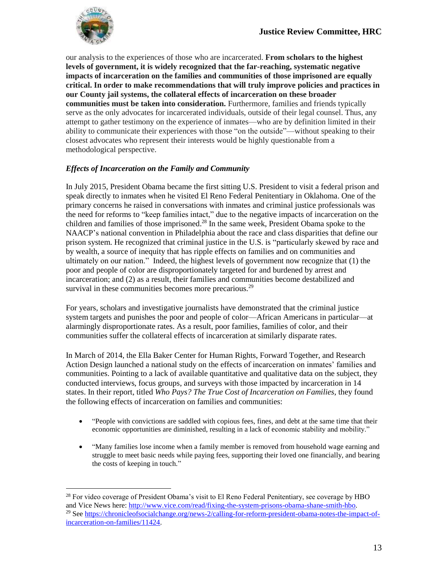

 $\overline{a}$ 

our analysis to the experiences of those who are incarcerated. **From scholars to the highest levels of government, it is widely recognized that the far-reaching, systematic negative impacts of incarceration on the families and communities of those imprisoned are equally critical. In order to make recommendations that will truly improve policies and practices in our County jail systems, the collateral effects of incarceration on these broader communities must be taken into consideration.** Furthermore, families and friends typically serve as the only advocates for incarcerated individuals, outside of their legal counsel. Thus, any attempt to gather testimony on the experience of inmates—who are by definition limited in their ability to communicate their experiences with those "on the outside"—without speaking to their closest advocates who represent their interests would be highly questionable from a methodological perspective.

#### *Effects of Incarceration on the Family and Community*

In July 2015, President Obama became the first sitting U.S. President to visit a federal prison and speak directly to inmates when he visited El Reno Federal Penitentiary in Oklahoma. One of the primary concerns he raised in conversations with inmates and criminal justice professionals was the need for reforms to "keep families intact," due to the negative impacts of incarceration on the children and families of those imprisoned. <sup>28</sup> In the same week, President Obama spoke to the NAACP's national convention in Philadelphia about the race and class disparities that define our prison system. He recognized that criminal justice in the U.S. is "particularly skewed by race and by wealth, a source of inequity that has ripple effects on families and on communities and ultimately on our nation." Indeed, the highest levels of government now recognize that (1) the poor and people of color are disproportionately targeted for and burdened by arrest and incarceration; and (2) as a result, their families and communities become destabilized and survival in these communities becomes more precarious.<sup>29</sup>

For years, scholars and investigative journalists have demonstrated that the criminal justice system targets and punishes the poor and people of color—African Americans in particular—at alarmingly disproportionate rates. As a result, poor families, families of color, and their communities suffer the collateral effects of incarceration at similarly disparate rates.

In March of 2014, the Ella Baker Center for Human Rights, Forward Together, and Research Action Design launched a national study on the effects of incarceration on inmates' families and communities. Pointing to a lack of available quantitative and qualitative data on the subject, they conducted interviews, focus groups, and surveys with those impacted by incarceration in 14 states. In their report, titled *Who Pays? The True Cost of Incarceration on Families*, they found the following effects of incarceration on families and communities:

- "People with convictions are saddled with copious fees, fines, and debt at the same time that their economic opportunities are diminished, resulting in a lack of economic stability and mobility."
- "Many families lose income when a family member is removed from household wage earning and struggle to meet basic needs while paying fees, supporting their loved one financially, and bearing the costs of keeping in touch."

 $^{28}$  For video coverage of President Obama's visit to El Reno Federal Penitentiary, see coverage by HBO and Vice News here: [http://www.vice.com/read/fixing-the-system-prisons-obama-shane-smith-hbo.](http://www.vice.com/read/fixing-the-system-prisons-obama-shane-smith-hbo) <sup>29</sup> See [https://chronicleofsocialchange.org/news-2/calling-for-reform-president-obama-notes-the-impact-of](https://chronicleofsocialchange.org/news-2/calling-for-reform-president-obama-notes-the-impact-of-incarceration-on-families/11424)[incarceration-on-families/11424.](https://chronicleofsocialchange.org/news-2/calling-for-reform-president-obama-notes-the-impact-of-incarceration-on-families/11424)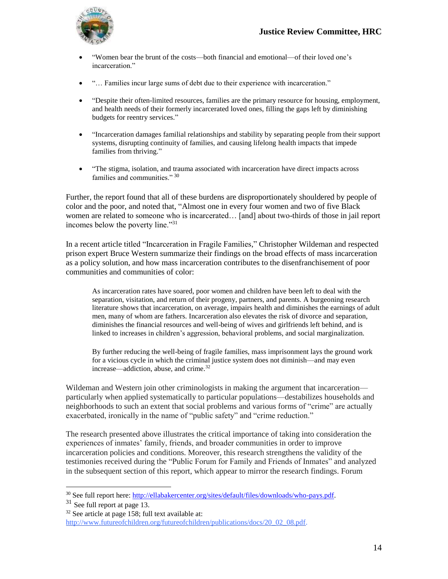

- "Women bear the brunt of the costs—both financial and emotional—of their loved one's incarceration."
- "… Families incur large sums of debt due to their experience with incarceration."
- "Despite their often-limited resources, families are the primary resource for housing, employment, and health needs of their formerly incarcerated loved ones, filling the gaps left by diminishing budgets for reentry services."
- "Incarceration damages familial relationships and stability by separating people from their support systems, disrupting continuity of families, and causing lifelong health impacts that impede families from thriving."
- "The stigma, isolation, and trauma associated with incarceration have direct impacts across families and communities." 30

Further, the report found that all of these burdens are disproportionately shouldered by people of color and the poor, and noted that, "Almost one in every four women and two of five Black women are related to someone who is incarcerated... [and] about two-thirds of those in jail report incomes below the poverty line."<sup>31</sup>

In a recent article titled "Incarceration in Fragile Families," Christopher Wildeman and respected prison expert Bruce Western summarize their findings on the broad effects of mass incarceration as a policy solution, and how mass incarceration contributes to the disenfranchisement of poor communities and communities of color:

As incarceration rates have soared, poor women and children have been left to deal with the separation, visitation, and return of their progeny, partners, and parents. A burgeoning research literature shows that incarceration, on average, impairs health and diminishes the earnings of adult men, many of whom are fathers. Incarceration also elevates the risk of divorce and separation, diminishes the financial resources and well-being of wives and girlfriends left behind, and is linked to increases in children's aggression, behavioral problems, and social marginalization.

By further reducing the well-being of fragile families, mass imprisonment lays the ground work for a vicious cycle in which the criminal justice system does not diminish—and may even increase—addiction, abuse, and crime.<sup>32</sup>

Wildeman and Western join other criminologists in making the argument that incarceration particularly when applied systematically to particular populations—destabilizes households and neighborhoods to such an extent that social problems and various forms of "crime" are actually exacerbated, ironically in the name of "public safety" and "crime reduction."

The research presented above illustrates the critical importance of taking into consideration the experiences of inmates' family, friends, and broader communities in order to improve incarceration policies and conditions. Moreover, this research strengthens the validity of the testimonies received during the "Public Forum for Family and Friends of Inmates" and analyzed in the subsequent section of this report, which appear to mirror the research findings. Forum

<sup>30</sup> See full report here: [http://ellabakercenter.org/sites/default/files/downloads/who-pays.pdf.](http://ellabakercenter.org/sites/default/files/downloads/who-pays.pdf)

<sup>31</sup> See full report at page 13.

 $32$  See article at page 158; full text available at: [http://www.futureofchildren.org/futureofchildren/publications/docs/20\\_02\\_08.pdf.](http://www.futureofchildren.org/futureofchildren/publications/docs/20_02_08.pdf)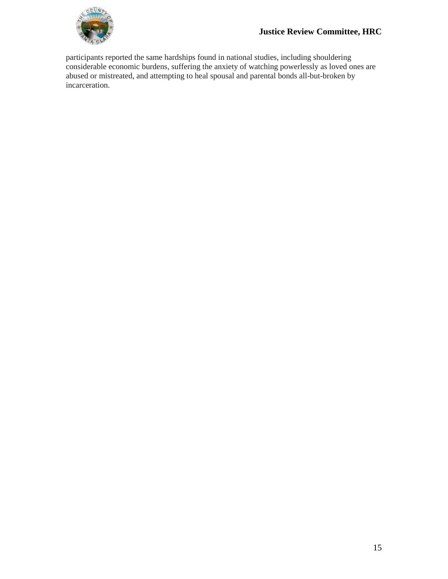

participants reported the same hardships found in national studies, including shouldering considerable economic burdens, suffering the anxiety of watching powerlessly as loved ones are abused or mistreated, and attempting to heal spousal and parental bonds all-but-broken by incarceration.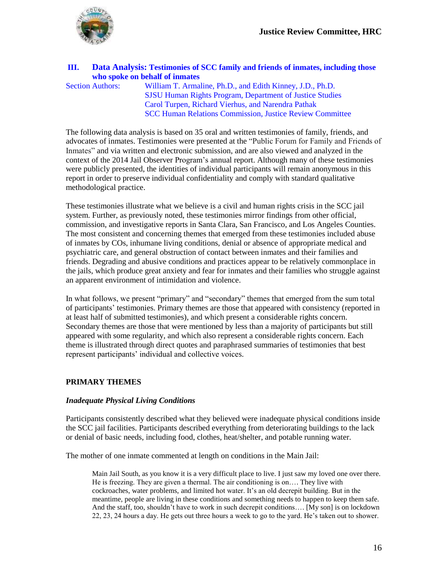

#### **III. Data Analysis: Testimonies of SCC family and friends of inmates, including those who spoke on behalf of inmates**

Section Authors: William T. Armaline, Ph.D., and Edith Kinney, J.D., Ph.D. SJSU Human Rights Program, Department of Justice Studies Carol Turpen, Richard Vierhus, and Narendra Pathak SCC Human Relations Commission, Justice Review Committee

The following data analysis is based on 35 oral and written testimonies of family, friends, and advocates of inmates. Testimonies were presented at the "Public Forum for Family and Friends of Inmates" and via written and electronic submission, and are also viewed and analyzed in the context of the 2014 Jail Observer Program's annual report. Although many of these testimonies were publicly presented, the identities of individual participants will remain anonymous in this report in order to preserve individual confidentiality and comply with standard qualitative methodological practice.

These testimonies illustrate what we believe is a civil and human rights crisis in the SCC jail system. Further, as previously noted, these testimonies mirror findings from other official, commission, and investigative reports in Santa Clara, San Francisco, and Los Angeles Counties. The most consistent and concerning themes that emerged from these testimonies included abuse of inmates by COs, inhumane living conditions, denial or absence of appropriate medical and psychiatric care, and general obstruction of contact between inmates and their families and friends. Degrading and abusive conditions and practices appear to be relatively commonplace in the jails, which produce great anxiety and fear for inmates and their families who struggle against an apparent environment of intimidation and violence.

In what follows, we present "primary" and "secondary" themes that emerged from the sum total of participants' testimonies. Primary themes are those that appeared with consistency (reported in at least half of submitted testimonies), and which present a considerable rights concern. Secondary themes are those that were mentioned by less than a majority of participants but still appeared with some regularity, and which also represent a considerable rights concern. Each theme is illustrated through direct quotes and paraphrased summaries of testimonies that best represent participants' individual and collective voices.

#### **PRIMARY THEMES**

#### *Inadequate Physical Living Conditions*

Participants consistently described what they believed were inadequate physical conditions inside the SCC jail facilities. Participants described everything from deteriorating buildings to the lack or denial of basic needs, including food, clothes, heat/shelter, and potable running water.

The mother of one inmate commented at length on conditions in the Main Jail:

Main Jail South, as you know it is a very difficult place to live. I just saw my loved one over there. He is freezing. They are given a thermal. The air conditioning is on…. They live with cockroaches, water problems, and limited hot water. It's an old decrepit building. But in the meantime, people are living in these conditions and something needs to happen to keep them safe. And the staff, too, shouldn't have to work in such decrepit conditions…. [My son] is on lockdown 22, 23, 24 hours a day. He gets out three hours a week to go to the yard. He's taken out to shower.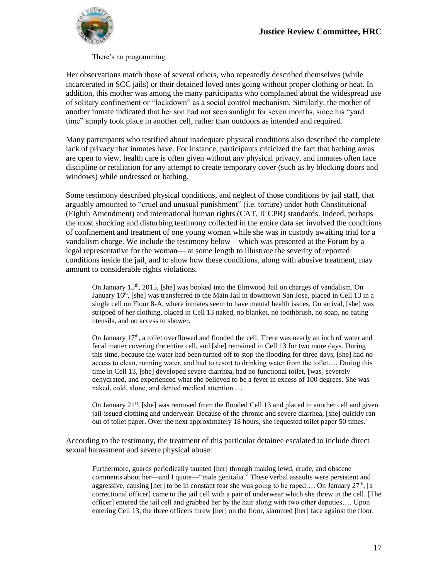

There's no programming.

Her observations match those of several others, who repeatedly described themselves (while incarcerated in SCC jails) or their detained loved ones going without proper clothing or heat. In addition, this mother was among the many participants who complained about the widespread use of solitary confinement or "lockdown" as a social control mechanism. Similarly, the mother of another inmate indicated that her son had not seen sunlight for seven months, since his "yard time" simply took place in another cell, rather than outdoors as intended and required.

Many participants who testified about inadequate physical conditions also described the complete lack of privacy that inmates have. For instance, participants criticized the fact that bathing areas are open to view, health care is often given without any physical privacy, and inmates often face discipline or retaliation for any attempt to create temporary cover (such as by blocking doors and windows) while undressed or bathing.

Some testimony described physical conditions, and neglect of those conditions by jail staff, that arguably amounted to "cruel and unusual punishment" (i.e. torture) under both Constitutional (Eighth Amendment) and international human rights (CAT, ICCPR) standards. Indeed, perhaps the most shocking and disturbing testimony collected in the entire data set involved the conditions of confinement and treatment of one young woman while she was in custody awaiting trial for a vandalism charge. We include the testimony below – which was presented at the Forum by a legal representative for the woman— at some length to illustrate the severity of reported conditions inside the jail, and to show how these conditions, along with abusive treatment, may amount to considerable rights violations.

On January 15th, 2015, [she] was booked into the Elmwood Jail on charges of vandalism. On January  $16<sup>th</sup>$ , [she] was transferred to the Main Jail in downtown San Jose, placed in Cell 13 in a single cell on Floor 8-A, where inmates seem to have mental health issues. On arrival, [she] was stripped of her clothing, placed in Cell 13 naked, no blanket, no toothbrush, no soap, no eating utensils, and no access to shower.

On January  $17<sup>th</sup>$ , a toilet overflowed and flooded the cell. There was nearly an inch of water and fecal matter covering the entire cell, and [she] remained in Cell 13 for two more days. During this time, because the water had been turned off to stop the flooding for three days, [she] had no access to clean, running water, and had to resort to drinking water from the toilet…. During this time in Cell 13, [she] developed severe diarrhea, had no functional toilet, [was] severely dehydrated, and experienced what she believed to be a fever in excess of 100 degrees. She was naked, cold, alone, and denied medical attention….

On January  $21^{st}$ , [she] was removed from the flooded Cell 13 and placed in another cell and given jail-issued clothing and underwear. Because of the chronic and severe diarrhea, [she] quickly ran out of toilet paper. Over the next approximately 18 hours, she requested toilet paper 50 times.

According to the testimony, the treatment of this particular detainee escalated to include direct sexual harassment and severe physical abuse:

Furthermore, guards periodically taunted [her] through making lewd, crude, and obscene comments about her—and I quote—"male genitalia." These verbal assaults were persistent and aggressive, causing [her] to be in constant fear she was going to be raped.... On January 27<sup>th</sup>, [a correctional officer] came to the jail cell with a pair of underwear which she threw in the cell. [The officer] entered the jail cell and grabbed her by the hair along with two other deputies…. Upon entering Cell 13, the three officers threw [her] on the floor, slammed [her] face against the floor.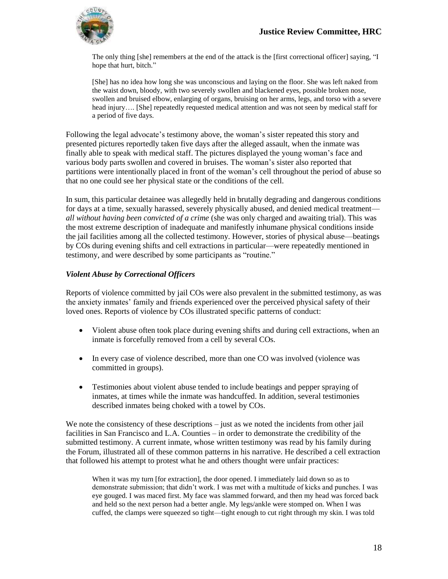

The only thing [she] remembers at the end of the attack is the [first correctional officer] saying, "I hope that hurt, bitch."

[She] has no idea how long she was unconscious and laying on the floor. She was left naked from the waist down, bloody, with two severely swollen and blackened eyes, possible broken nose, swollen and bruised elbow, enlarging of organs, bruising on her arms, legs, and torso with a severe head injury.... [She] repeatedly requested medical attention and was not seen by medical staff for a period of five days.

Following the legal advocate's testimony above, the woman's sister repeated this story and presented pictures reportedly taken five days after the alleged assault, when the inmate was finally able to speak with medical staff. The pictures displayed the young woman's face and various body parts swollen and covered in bruises. The woman's sister also reported that partitions were intentionally placed in front of the woman's cell throughout the period of abuse so that no one could see her physical state or the conditions of the cell.

In sum, this particular detainee was allegedly held in brutally degrading and dangerous conditions for days at a time, sexually harassed, severely physically abused, and denied medical treatment *all without having been convicted of a crime* (she was only charged and awaiting trial). This was the most extreme description of inadequate and manifestly inhumane physical conditions inside the jail facilities among all the collected testimony. However, stories of physical abuse—beatings by COs during evening shifts and cell extractions in particular—were repeatedly mentioned in testimony, and were described by some participants as "routine."

#### *Violent Abuse by Correctional Officers*

Reports of violence committed by jail COs were also prevalent in the submitted testimony, as was the anxiety inmates' family and friends experienced over the perceived physical safety of their loved ones. Reports of violence by COs illustrated specific patterns of conduct:

- Violent abuse often took place during evening shifts and during cell extractions, when an inmate is forcefully removed from a cell by several COs.
- In every case of violence described, more than one CO was involved (violence was committed in groups).
- Testimonies about violent abuse tended to include beatings and pepper spraying of inmates, at times while the inmate was handcuffed. In addition, several testimonies described inmates being choked with a towel by COs.

We note the consistency of these descriptions – just as we noted the incidents from other jail facilities in San Francisco and L.A. Counties – in order to demonstrate the credibility of the submitted testimony. A current inmate, whose written testimony was read by his family during the Forum, illustrated all of these common patterns in his narrative. He described a cell extraction that followed his attempt to protest what he and others thought were unfair practices:

When it was my turn [for extraction], the door opened. I immediately laid down so as to demonstrate submission; that didn't work. I was met with a multitude of kicks and punches. I was eye gouged. I was maced first. My face was slammed forward, and then my head was forced back and held so the next person had a better angle. My legs/ankle were stomped on. When I was cuffed, the clamps were squeezed so tight—tight enough to cut right through my skin. I was told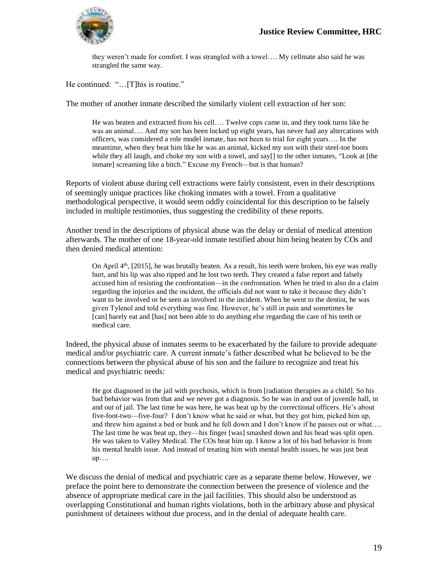

they weren't made for comfort. I was strangled with a towel…. My cellmate also said he was strangled the same way.

He continued: "…[T]his is routine."

The mother of another inmate described the similarly violent cell extraction of her son:

He was beaten and extracted from his cell…. Twelve cops came in, and they took turns like he was an animal…. And my son has been locked up eight years, has never had any altercations with officers, was considered a role model inmate, has not been to trial for eight years…. In the meantime, when they beat him like he was an animal, kicked my son with their steel-toe boots while they all laugh, and choke my son with a towel, and say[] to the other inmates, "Look at [the inmate] screaming like a bitch." Excuse my French—but is that human?

Reports of violent abuse during cell extractions were fairly consistent, even in their descriptions of seemingly unique practices like choking inmates with a towel. From a qualitative methodological perspective, it would seem oddly coincidental for this description to be falsely included in multiple testimonies, thus suggesting the credibility of these reports.

Another trend in the descriptions of physical abuse was the delay or denial of medical attention afterwards. The mother of one 18-year-old inmate testified about him being beaten by COs and then denied medical attention:

On April  $4<sup>th</sup>$ , [2015], he was brutally beaten. As a result, his teeth were broken, his eye was really hurt, and his lip was also ripped and he lost two teeth. They created a false report and falsely accused him of resisting the confrontation—in the confrontation. When he tried to also do a claim regarding the injuries and the incident, the officials did not want to take it because they didn't want to be involved or be seen as involved in the incident. When he went to the dentist, he was given Tylenol and told everything was fine. However, he's still in pain and sometimes he [can] barely eat and [has] not been able to do anything else regarding the care of his teeth or medical care.

Indeed, the physical abuse of inmates seems to be exacerbated by the failure to provide adequate medical and/or psychiatric care. A current inmate's father described what he believed to be the connections between the physical abuse of his son and the failure to recognize and treat his medical and psychiatric needs:

He got diagnosed in the jail with psychosis, which is from [radiation therapies as a child]. So his bad behavior was from that and we never got a diagnosis. So he was in and out of juvenile hall, in and out of jail. The last time he was here, he was beat up by the correctional officers. He's about five-foot-two—five-four? I don't know what he said or what, but they got him, picked him up, and threw him against a bed or bunk and he fell down and I don't know if he passes out or what…. The last time he was beat up, they—his finger [was] smashed down and his head was split open. He was taken to Valley Medical. The COs beat him up. I know a lot of his bad behavior is from his mental health issue. And instead of treating him with mental health issues, he was just beat up….

We discuss the denial of medical and psychiatric care as a separate theme below. However, we preface the point here to demonstrate the connection between the presence of violence and the absence of appropriate medical care in the jail facilities. This should also be understood as overlapping Constitutional and human rights violations, both in the arbitrary abuse and physical punishment of detainees without due process, and in the denial of adequate health care.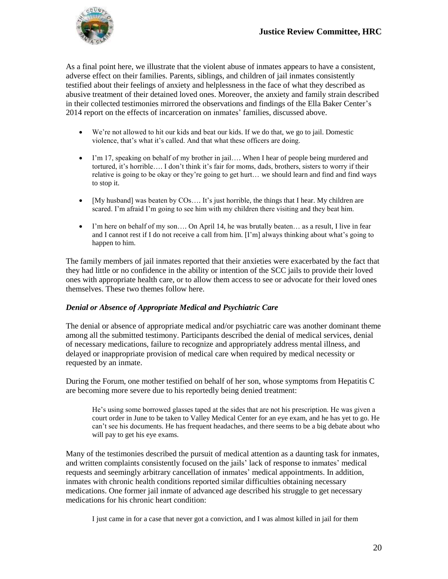

As a final point here, we illustrate that the violent abuse of inmates appears to have a consistent, adverse effect on their families. Parents, siblings, and children of jail inmates consistently testified about their feelings of anxiety and helplessness in the face of what they described as abusive treatment of their detained loved ones. Moreover, the anxiety and family strain described in their collected testimonies mirrored the observations and findings of the Ella Baker Center's 2014 report on the effects of incarceration on inmates' families, discussed above.

- We're not allowed to hit our kids and beat our kids. If we do that, we go to jail. Domestic violence, that's what it's called. And that what these officers are doing.
- I'm 17, speaking on behalf of my brother in jail…. When I hear of people being murdered and tortured, it's horrible…. I don't think it's fair for moms, dads, brothers, sisters to worry if their relative is going to be okay or they're going to get hurt… we should learn and find and find ways to stop it.
- $\bullet$  [My husband] was beaten by  $COs$ .... It's just horrible, the things that I hear. My children are scared. I'm afraid I'm going to see him with my children there visiting and they beat him.
- I'm here on behalf of my son…. On April 14, he was brutally beaten… as a result, I live in fear and I cannot rest if I do not receive a call from him. [I'm] always thinking about what's going to happen to him.

The family members of jail inmates reported that their anxieties were exacerbated by the fact that they had little or no confidence in the ability or intention of the SCC jails to provide their loved ones with appropriate health care, or to allow them access to see or advocate for their loved ones themselves. These two themes follow here.

#### *Denial or Absence of Appropriate Medical and Psychiatric Care*

The denial or absence of appropriate medical and/or psychiatric care was another dominant theme among all the submitted testimony. Participants described the denial of medical services, denial of necessary medications, failure to recognize and appropriately address mental illness, and delayed or inappropriate provision of medical care when required by medical necessity or requested by an inmate.

During the Forum, one mother testified on behalf of her son, whose symptoms from Hepatitis C are becoming more severe due to his reportedly being denied treatment:

He's using some borrowed glasses taped at the sides that are not his prescription. He was given a court order in June to be taken to Valley Medical Center for an eye exam, and he has yet to go. He can't see his documents. He has frequent headaches, and there seems to be a big debate about who will pay to get his eye exams.

Many of the testimonies described the pursuit of medical attention as a daunting task for inmates, and written complaints consistently focused on the jails' lack of response to inmates' medical requests and seemingly arbitrary cancellation of inmates' medical appointments. In addition, inmates with chronic health conditions reported similar difficulties obtaining necessary medications. One former jail inmate of advanced age described his struggle to get necessary medications for his chronic heart condition:

I just came in for a case that never got a conviction, and I was almost killed in jail for them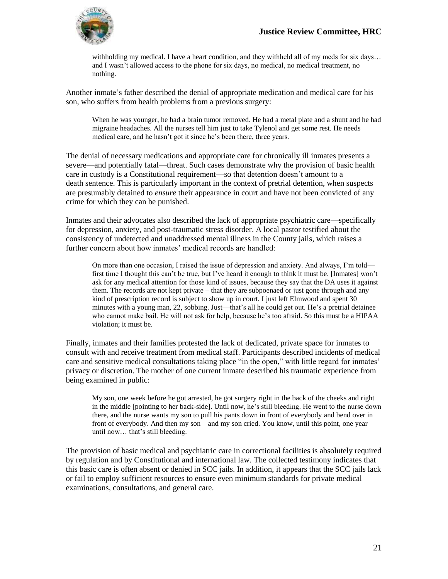

withholding my medical. I have a heart condition, and they withheld all of my meds for six days… and I wasn't allowed access to the phone for six days, no medical, no medical treatment, no nothing.

Another inmate's father described the denial of appropriate medication and medical care for his son, who suffers from health problems from a previous surgery:

When he was younger, he had a brain tumor removed. He had a metal plate and a shunt and he had migraine headaches. All the nurses tell him just to take Tylenol and get some rest. He needs medical care, and he hasn't got it since he's been there, three years.

The denial of necessary medications and appropriate care for chronically ill inmates presents a severe—and potentially fatal—threat. Such cases demonstrate why the provision of basic health care in custody is a Constitutional requirement—so that detention doesn't amount to a death sentence. This is particularly important in the context of pretrial detention, when suspects are presumably detained to *ensure* their appearance in court and have not been convicted of any crime for which they can be punished.

Inmates and their advocates also described the lack of appropriate psychiatric care—specifically for depression, anxiety, and post-traumatic stress disorder. A local pastor testified about the consistency of undetected and unaddressed mental illness in the County jails, which raises a further concern about how inmates' medical records are handled:

On more than one occasion, I raised the issue of depression and anxiety. And always, I'm told first time I thought this can't be true, but I've heard it enough to think it must be. [Inmates] won't ask for any medical attention for those kind of issues, because they say that the DA uses it against them. The records are not kept private – that they are subpoenaed or just gone through and any kind of prescription record is subject to show up in court. I just left Elmwood and spent 30 minutes with a young man, 22, sobbing. Just—that's all he could get out. He's a pretrial detainee who cannot make bail. He will not ask for help, because he's too afraid. So this must be a HIPAA violation; it must be.

Finally, inmates and their families protested the lack of dedicated, private space for inmates to consult with and receive treatment from medical staff. Participants described incidents of medical care and sensitive medical consultations taking place "in the open," with little regard for inmates' privacy or discretion. The mother of one current inmate described his traumatic experience from being examined in public:

My son, one week before he got arrested, he got surgery right in the back of the cheeks and right in the middle [pointing to her back-side]. Until now, he's still bleeding. He went to the nurse down there, and the nurse wants my son to pull his pants down in front of everybody and bend over in front of everybody. And then my son—and my son cried. You know, until this point, one year until now… that's still bleeding.

The provision of basic medical and psychiatric care in correctional facilities is absolutely required by regulation and by Constitutional and international law. The collected testimony indicates that this basic care is often absent or denied in SCC jails. In addition, it appears that the SCC jails lack or fail to employ sufficient resources to ensure even minimum standards for private medical examinations, consultations, and general care.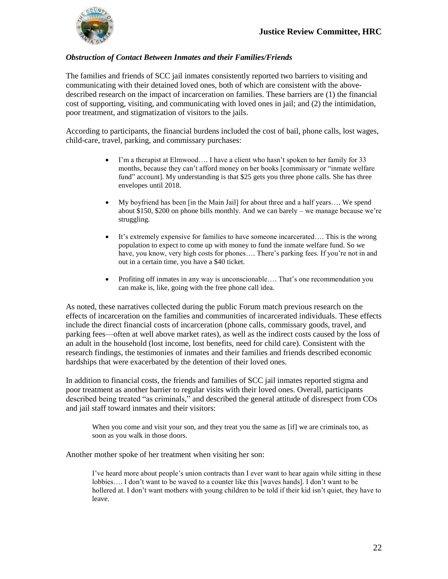

#### *Obstruction of Contact Between Inmates and their Families/Friends*

The families and friends of SCC jail inmates consistently reported two barriers to visiting and communicating with their detained loved ones, both of which are consistent with the abovedescribed research on the impact of incarceration on families. These barriers are (1) the financial cost of supporting, visiting, and communicating with loved ones in jail; and (2) the intimidation, poor treatment, and stigmatization of visitors to the jails.

According to participants, the financial burdens included the cost of bail, phone calls, lost wages, child-care, travel, parking, and commissary purchases:

- I'm a therapist at Elmwood…. I have a client who hasn't spoken to her family for 33 months, because they can't afford money on her books [commissary or "inmate welfare fund" account]. My understanding is that \$25 gets you three phone calls. She has three envelopes until 2018.
- My boyfriend has been [in the Main Jail] for about three and a half years…. We spend about \$150, \$200 on phone bills monthly. And we can barely – we manage because we're struggling.
- It's extremely expensive for families to have someone incarcerated…. This is the wrong population to expect to come up with money to fund the inmate welfare fund. So we have, you know, very high costs for phones.... There's parking fees. If you're not in and out in a certain time, you have a \$40 ticket.
- Profiting off inmates in any way is unconscionable…. That's one recommendation you can make is, like, going with the free phone call idea.

As noted, these narratives collected during the public Forum match previous research on the effects of incarceration on the families and communities of incarcerated individuals. These effects include the direct financial costs of incarceration (phone calls, commissary goods, travel, and parking fees—often at well above market rates), as well as the indirect costs caused by the loss of an adult in the household (lost income, lost benefits, need for child care). Consistent with the research findings, the testimonies of inmates and their families and friends described economic hardships that were exacerbated by the detention of their loved ones.

In addition to financial costs, the friends and families of SCC jail inmates reported stigma and poor treatment as another barrier to regular visits with their loved ones. Overall, participants described being treated "as criminals," and described the general attitude of disrespect from COs and jail staff toward inmates and their visitors:

When you come and visit your son, and they treat you the same as [if] we are criminals too, as soon as you walk in those doors.

Another mother spoke of her treatment when visiting her son:

I've heard more about people's union contracts than I ever want to hear again while sitting in these lobbies…. I don't want to be waved to a counter like this [waves hands]. I don't want to be hollered at. I don't want mothers with young children to be told if their kid isn't quiet, they have to leave.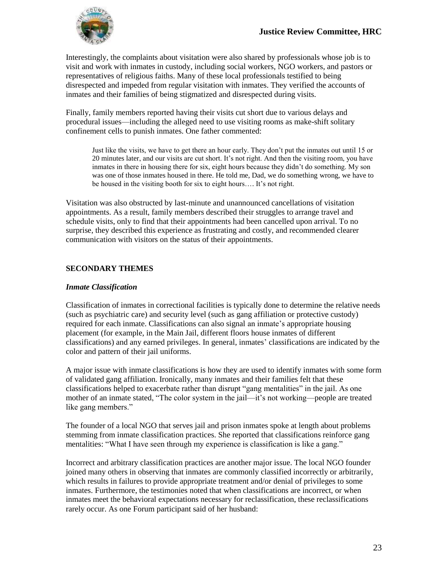

Interestingly, the complaints about visitation were also shared by professionals whose job is to visit and work with inmates in custody, including social workers, NGO workers, and pastors or representatives of religious faiths. Many of these local professionals testified to being disrespected and impeded from regular visitation with inmates. They verified the accounts of inmates and their families of being stigmatized and disrespected during visits.

Finally, family members reported having their visits cut short due to various delays and procedural issues—including the alleged need to use visiting rooms as make-shift solitary confinement cells to punish inmates. One father commented:

Just like the visits, we have to get there an hour early. They don't put the inmates out until 15 or 20 minutes later, and our visits are cut short. It's not right. And then the visiting room, you have inmates in there in housing there for six, eight hours because they didn't do something. My son was one of those inmates housed in there. He told me, Dad, we do something wrong, we have to be housed in the visiting booth for six to eight hours…. It's not right.

Visitation was also obstructed by last-minute and unannounced cancellations of visitation appointments. As a result, family members described their struggles to arrange travel and schedule visits, only to find that their appointments had been cancelled upon arrival. To no surprise, they described this experience as frustrating and costly, and recommended clearer communication with visitors on the status of their appointments.

#### **SECONDARY THEMES**

#### *Inmate Classification*

Classification of inmates in correctional facilities is typically done to determine the relative needs (such as psychiatric care) and security level (such as gang affiliation or protective custody) required for each inmate. Classifications can also signal an inmate's appropriate housing placement (for example, in the Main Jail, different floors house inmates of different classifications) and any earned privileges. In general, inmates' classifications are indicated by the color and pattern of their jail uniforms.

A major issue with inmate classifications is how they are used to identify inmates with some form of validated gang affiliation. Ironically, many inmates and their families felt that these classifications helped to exacerbate rather than disrupt "gang mentalities" in the jail. As one mother of an inmate stated, "The color system in the jail—it's not working—people are treated like gang members."

The founder of a local NGO that serves jail and prison inmates spoke at length about problems stemming from inmate classification practices. She reported that classifications reinforce gang mentalities: "What I have seen through my experience is classification is like a gang."

Incorrect and arbitrary classification practices are another major issue. The local NGO founder joined many others in observing that inmates are commonly classified incorrectly or arbitrarily, which results in failures to provide appropriate treatment and/or denial of privileges to some inmates. Furthermore, the testimonies noted that when classifications are incorrect, or when inmates meet the behavioral expectations necessary for reclassification, these reclassifications rarely occur. As one Forum participant said of her husband: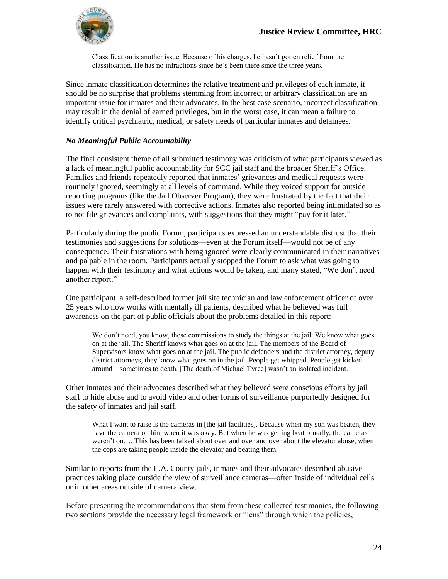

Classification is another issue. Because of his charges, he hasn't gotten relief from the classification. He has no infractions since he's been there since the three years.

Since inmate classification determines the relative treatment and privileges of each inmate, it should be no surprise that problems stemming from incorrect or arbitrary classification are an important issue for inmates and their advocates. In the best case scenario, incorrect classification may result in the denial of earned privileges, but in the worst case, it can mean a failure to identify critical psychiatric, medical, or safety needs of particular inmates and detainees.

#### *No Meaningful Public Accountability*

The final consistent theme of all submitted testimony was criticism of what participants viewed as a lack of meaningful public accountability for SCC jail staff and the broader Sheriff's Office. Families and friends repeatedly reported that inmates' grievances and medical requests were routinely ignored, seemingly at all levels of command. While they voiced support for outside reporting programs (like the Jail Observer Program), they were frustrated by the fact that their issues were rarely answered with corrective actions. Inmates also reported being intimidated so as to not file grievances and complaints, with suggestions that they might "pay for it later."

Particularly during the public Forum, participants expressed an understandable distrust that their testimonies and suggestions for solutions—even at the Forum itself—would not be of any consequence. Their frustrations with being ignored were clearly communicated in their narratives and palpable in the room. Participants actually stopped the Forum to ask what was going to happen with their testimony and what actions would be taken, and many stated, "We don't need another report."

One participant, a self-described former jail site technician and law enforcement officer of over 25 years who now works with mentally ill patients, described what he believed was full awareness on the part of public officials about the problems detailed in this report:

We don't need, you know, these commissions to study the things at the jail. We know what goes on at the jail. The Sheriff knows what goes on at the jail. The members of the Board of Supervisors know what goes on at the jail. The public defenders and the district attorney, deputy district attorneys, they know what goes on in the jail. People get whipped. People get kicked around—sometimes to death. [The death of Michael Tyree] wasn't an isolated incident.

Other inmates and their advocates described what they believed were conscious efforts by jail staff to hide abuse and to avoid video and other forms of surveillance purportedly designed for the safety of inmates and jail staff.

What I want to raise is the cameras in [the jail facilities]. Because when my son was beaten, they have the camera on him when it was okay. But when he was getting beat brutally, the cameras weren't on…. This has been talked about over and over and over about the elevator abuse, when the cops are taking people inside the elevator and beating them.

Similar to reports from the L.A. County jails, inmates and their advocates described abusive practices taking place outside the view of surveillance cameras—often inside of individual cells or in other areas outside of camera view.

Before presenting the recommendations that stem from these collected testimonies, the following two sections provide the necessary legal framework or "lens" through which the policies,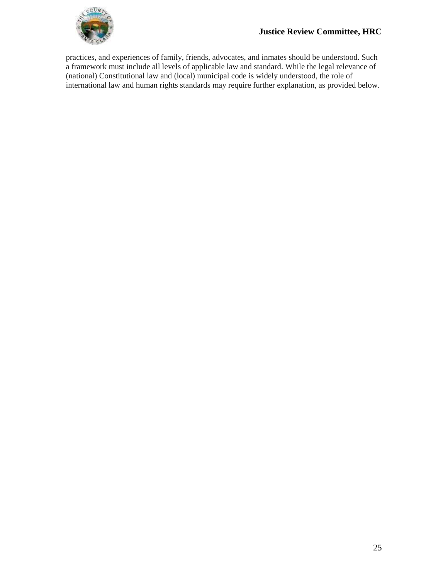

practices, and experiences of family, friends, advocates, and inmates should be understood. Such a framework must include all levels of applicable law and standard. While the legal relevance of (national) Constitutional law and (local) municipal code is widely understood, the role of international law and human rights standards may require further explanation, as provided below.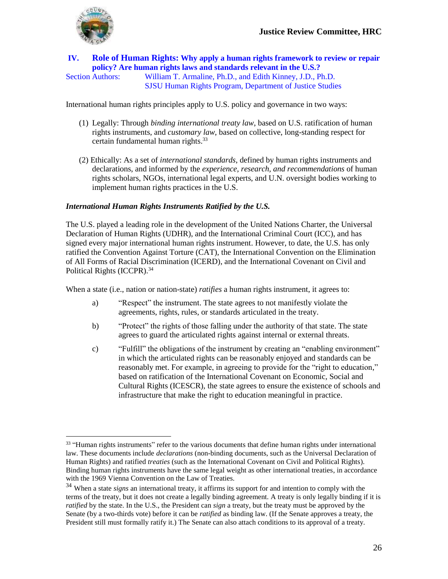

### **IV. Role of Human Rights: Why apply a human rights framework to review or repair policy? Are human rights laws and standards relevant in the U.S.?**

 $\overline{a}$ 

Section Authors: William T. Armaline, Ph.D., and Edith Kinney, J.D., Ph.D. SJSU Human Rights Program, Department of Justice Studies

International human rights principles apply to U.S. policy and governance in two ways:

- (1) Legally: Through *binding international treaty law*, based on U.S. ratification of human rights instruments, and *customary law*, based on collective, long-standing respect for certain fundamental human rights.<sup>33</sup>
- (2) Ethically: As a set of *international standards*, defined by human rights instruments and declarations, and informed by the *experience, research, and recommendations* of human rights scholars, NGOs, international legal experts, and U.N. oversight bodies working to implement human rights practices in the U.S.

#### *International Human Rights Instruments Ratified by the U.S.*

The U.S. played a leading role in the development of the United Nations Charter, the Universal Declaration of Human Rights (UDHR), and the International Criminal Court (ICC), and has signed every major international human rights instrument. However, to date, the U.S. has only ratified the Convention Against Torture (CAT), the International Convention on the Elimination of All Forms of Racial Discrimination (ICERD), and the International Covenant on Civil and Political Rights (ICCPR).<sup>34</sup>

When a state (i.e., nation or nation-state) *ratifies* a human rights instrument, it agrees to:

- a) "Respect" the instrument. The state agrees to not manifestly violate the agreements, rights, rules, or standards articulated in the treaty.
- b) "Protect" the rights of those falling under the authority of that state. The state agrees to guard the articulated rights against internal or external threats.
- c) "Fulfill" the obligations of the instrument by creating an "enabling environment" in which the articulated rights can be reasonably enjoyed and standards can be reasonably met. For example, in agreeing to provide for the "right to education," based on ratification of the International Covenant on Economic, Social and Cultural Rights (ICESCR), the state agrees to ensure the existence of schools and infrastructure that make the right to education meaningful in practice.

<sup>&</sup>lt;sup>33</sup> "Human rights instruments" refer to the various documents that define human rights under international law. These documents include *declarations* (non-binding documents, such as the Universal Declaration of Human Rights) and ratified *treaties* (such as the International Covenant on Civil and Political Rights). Binding human rights instruments have the same legal weight as other international treaties, in accordance with the 1969 Vienna Convention on the Law of Treaties.

<sup>34</sup> When a state *signs* an international treaty, it affirms its support for and intention to comply with the terms of the treaty, but it does not create a legally binding agreement. A treaty is only legally binding if it is *ratified* by the state. In the U.S., the President can *sign* a treaty, but the treaty must be approved by the Senate (by a two-thirds vote) before it can be *ratified* as binding law. (If the Senate approves a treaty, the President still must formally ratify it.) The Senate can also attach conditions to its approval of a treaty.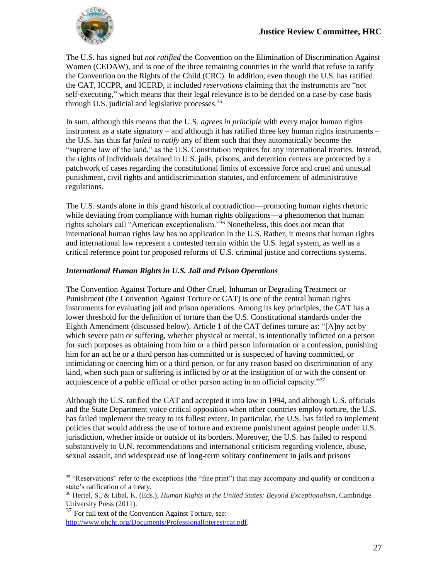

The U.S. has signed but *not ratified* the Convention on the Elimination of Discrimination Against Women (CEDAW), and is one of the three remaining countries in the world that refuse to ratify the Convention on the Rights of the Child (CRC). In addition, even though the U.S. has ratified the CAT, ICCPR, and ICERD, it included *reservations* claiming that the instruments are "not self-executing," which means that their legal relevance is to be decided on a case-by-case basis through U.S. judicial and legislative processes.<sup>35</sup>

In sum, although this means that the U.S. *agrees in principle* with every major human rights instrument as a state signatory – and although it has ratified three key human rights instruments – the U.S. has thus far *failed to ratify* any of them such that they automatically become the "supreme law of the land," as the U.S. Constitution requires for any international treaties. Instead, the rights of individuals detained in U.S. jails, prisons, and detention centers are protected by a patchwork of cases regarding the constitutional limits of excessive force and cruel and unusual punishment, civil rights and antidiscrimination statutes, and enforcement of administrative regulations.

The U.S. stands alone in this grand historical contradiction—promoting human rights rhetoric while deviating from compliance with human rights obligations—a phenomenon that human rights scholars call "American exceptionalism."<sup>36</sup> Nonetheless, this does *not* mean that international human rights law has no application in the U.S. Rather, it means that human rights and international law represent a contested terrain within the U.S. legal system, as well as a critical reference point for proposed reforms of U.S. criminal justice and corrections systems.

#### *International Human Rights in U.S. Jail and Prison Operations*

The Convention Against Torture and Other Cruel, Inhuman or Degrading Treatment or Punishment (the Convention Against Torture or CAT) is one of the central human rights instruments for evaluating jail and prison operations. Among its key principles, the CAT has a lower threshold for the definition of torture than the U.S. Constitutional standards under the Eighth Amendment (discussed below). Article 1 of the CAT defines torture as: "[A]ny act by which severe pain or suffering, whether physical or mental, is intentionally inflicted on a person for such purposes as obtaining from him or a third person information or a confession, punishing him for an act he or a third person has committed or is suspected of having committed, or intimidating or coercing him or a third person, or for any reason based on discrimination of any kind, when such pain or suffering is inflicted by or at the instigation of or with the consent or acquiescence of a public official or other person acting in an official capacity."<sup>37</sup>

Although the U.S. ratified the CAT and accepted it into law in 1994, and although U.S. officials and the State Department voice critical opposition when other countries employ torture, the U.S. has failed implement the treaty to its fullest extent. In particular, the U.S. has failed to implement policies that would address the use of torture and extreme punishment against people under U.S. jurisdiction, whether inside or outside of its borders. Moreover, the U.S. has failed to respond substantively to U.N. recommendations and international criticism regarding violence, abuse, sexual assault, and widespread use of long-term solitary confinement in jails and prisons

<sup>&</sup>lt;sup>35</sup> "Reservations" refer to the exceptions (the "fine print") that may accompany and qualify or condition a state's ratification of a treaty.

<sup>36</sup> Hertel, S., & Libal, K. (Eds.), *Human Rights in the United States: Beyond Exceptionalism*, Cambridge University Press (2011).

 $37$  For full text of the Convention Against Torture, see: [http://www.ohchr.org/Documents/ProfessionalInterest/cat.pdf.](http://www.ohchr.org/Documents/ProfessionalInterest/cat.pdf)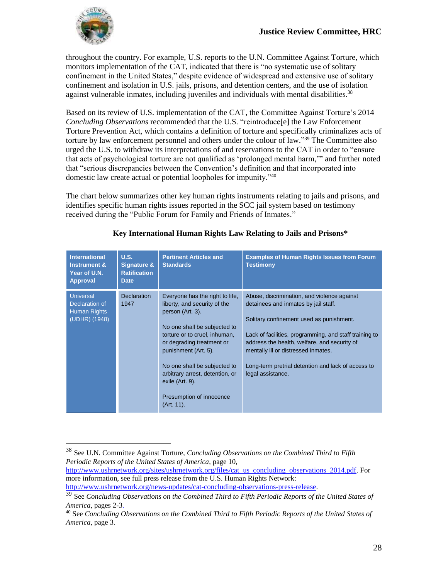

 $\overline{a}$ 

throughout the country. For example, U.S. reports to the U.N. Committee Against Torture, which monitors implementation of the CAT, indicated that there is "no systematic use of solitary confinement in the United States," despite evidence of widespread and extensive use of solitary confinement and isolation in U.S. jails, prisons, and detention centers, and the use of isolation against vulnerable inmates, including juveniles and individuals with mental disabilities.<sup>38</sup>

Based on its review of U.S. implementation of the CAT, the Committee Against Torture's 2014 *Concluding Observations* recommended that the U.S. "reintroduce[e] the Law Enforcement Torture Prevention Act, which contains a definition of torture and specifically criminalizes acts of torture by law enforcement personnel and others under the colour of law."<sup>39</sup> The Committee also urged the U.S. to withdraw its interpretations of and reservations to the CAT in order to "ensure that acts of psychological torture are not qualified as 'prolonged mental harm,'" and further noted that "serious discrepancies between the Convention's definition and that incorporated into domestic law create actual or potential loopholes for impunity."<sup>40</sup>

The chart below summarizes other key human rights instruments relating to jails and prisons, and identifies specific human rights issues reported in the SCC jail system based on testimony received during the "Public Forum for Family and Friends of Inmates."

| <b>International</b><br><b>Instrument &amp;</b><br>Year of U.N.<br><b>Approval</b> | U.S.<br>Signature &<br><b>Ratification</b><br><b>Date</b> | <b>Pertinent Articles and</b><br><b>Standards</b>                                                                                                                                                                                                                                                                                         | <b>Examples of Human Rights Issues from Forum</b><br><b>Testimony</b>                                                                                                                                                                                                                                                                                       |
|------------------------------------------------------------------------------------|-----------------------------------------------------------|-------------------------------------------------------------------------------------------------------------------------------------------------------------------------------------------------------------------------------------------------------------------------------------------------------------------------------------------|-------------------------------------------------------------------------------------------------------------------------------------------------------------------------------------------------------------------------------------------------------------------------------------------------------------------------------------------------------------|
| <b>Universal</b><br>Declaration of<br>Human Rights<br>(UDHR) (1948)                | <b>Declaration</b><br>1947                                | Everyone has the right to life,<br>liberty, and security of the<br>person (Art. 3).<br>No one shall be subjected to<br>torture or to cruel, inhuman,<br>or degrading treatment or<br>punishment (Art. 5).<br>No one shall be subjected to<br>arbitrary arrest, detention, or<br>exile (Art. 9).<br>Presumption of innocence<br>(Art. 11). | Abuse, discrimination, and violence against<br>detainees and inmates by jail staff.<br>Solitary confinement used as punishment.<br>Lack of facilities, programming, and staff training to<br>address the health, welfare, and security of<br>mentally ill or distressed inmates.<br>Long-term pretrial detention and lack of access to<br>legal assistance. |

#### **Key International Human Rights Law Relating to Jails and Prisons\***

<sup>38</sup> See U.N. Committee Against Torture, *Concluding Observations on the Combined Third to Fifth Periodic Reports of the United States of America*, page 10,

[http://www.ushrnetwork.org/sites/ushrnetwork.org/files/cat\\_us\\_concluding\\_observations\\_2014.pdf.](http://www.ushrnetwork.org/sites/ushrnetwork.org/files/cat_us_concluding_observations_2014.pdf) For more information, see full press release from the U.S. Human Rights Network: [http://www.ushrnetwork.org/news-updates/cat-concluding-observations-press-release.](http://www.ushrnetwork.org/news-updates/cat-concluding-observations-press-release)

<sup>39</sup> See *Concluding Observations on the Combined Third to Fifth Periodic Reports of the United States of America*, pages 2-3.

<sup>40</sup> See *Concluding Observations on the Combined Third to Fifth Periodic Reports of the United States of America*, page 3.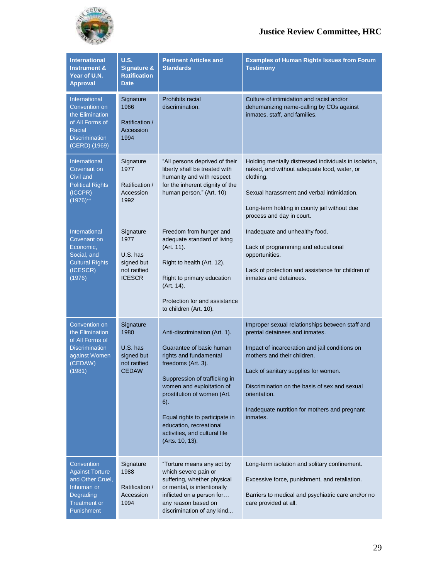

| <b>International</b><br><b>Instrument &amp;</b><br>Year of U.N.<br><b>Approval</b>                                       | U.S.<br><b>Signature &amp;</b><br><b>Ratification</b><br><b>Date</b>           | <b>Pertinent Articles and</b><br><b>Standards</b>                                                                                                                                                                                                                                                                                 | <b>Examples of Human Rights Issues from Forum</b><br><b>Testimony</b>                                                                                                                                                                                                                                                                     |
|--------------------------------------------------------------------------------------------------------------------------|--------------------------------------------------------------------------------|-----------------------------------------------------------------------------------------------------------------------------------------------------------------------------------------------------------------------------------------------------------------------------------------------------------------------------------|-------------------------------------------------------------------------------------------------------------------------------------------------------------------------------------------------------------------------------------------------------------------------------------------------------------------------------------------|
| International<br>Convention on<br>the Elimination<br>of All Forms of<br>Racial<br><b>Discrimination</b><br>(CERD) (1969) | Signature<br>1966<br>Ratification /<br>Accession<br>1994                       | <b>Prohibits racial</b><br>discrimination.                                                                                                                                                                                                                                                                                        | Culture of intimidation and racist and/or<br>dehumanizing name-calling by COs against<br>inmates, staff, and families.                                                                                                                                                                                                                    |
| <b>International</b><br>Covenant on<br>Civil and<br><b>Political Rights</b><br>(ICCPR)<br>$(1976)$ **                    | Signature<br>1977<br>Ratification /<br>Accession<br>1992                       | "All persons deprived of their<br>liberty shall be treated with<br>humanity and with respect<br>for the inherent dignity of the<br>human person." (Art. 10)                                                                                                                                                                       | Holding mentally distressed individuals in isolation,<br>naked, and without adequate food, water, or<br>clothing.<br>Sexual harassment and verbal intimidation.<br>Long-term holding in county jail without due<br>process and day in court.                                                                                              |
| <b>International</b><br>Covenant on<br>Economic,<br>Social, and<br><b>Cultural Rights</b><br>(ICESCR)<br>(1976)          | Signature<br>1977<br>$U.S.$ has<br>signed but<br>not ratified<br><b>ICESCR</b> | Freedom from hunger and<br>adequate standard of living<br>(Art. 11).<br>Right to health (Art. 12).<br>Right to primary education<br>(Art. 14).<br>Protection for and assistance<br>to children (Art. 10).                                                                                                                         | Inadequate and unhealthy food.<br>Lack of programming and educational<br>opportunities.<br>Lack of protection and assistance for children of<br>inmates and detainees.                                                                                                                                                                    |
| Convention on<br>the Elimination<br>of All Forms of<br><b>Discrimination</b><br>against Women<br>(CEDAW)<br>(1981)       | Signature<br>1980<br>U.S. has<br>signed but<br>not ratified<br><b>CEDAW</b>    | Anti-discrimination (Art. 1).<br>Guarantee of basic human<br>rights and fundamental<br>freedoms (Art. 3).<br>Suppression of trafficking in<br>women and exploitation of<br>prostitution of women (Art.<br>$6$ ).<br>Equal rights to participate in<br>education, recreational<br>activities, and cultural life<br>(Arts. 10, 13). | Improper sexual relationships between staff and<br>pretrial detainees and inmates.<br>Impact of incarceration and jail conditions on<br>mothers and their children.<br>Lack of sanitary supplies for women.<br>Discrimination on the basis of sex and sexual<br>orientation.<br>Inadequate nutrition for mothers and pregnant<br>inmates. |
| Convention<br><b>Against Torture</b><br>and Other Cruel,<br>Inhuman or<br>Degrading<br><b>Treatment or</b><br>Punishment | Signature<br>1988<br>Ratification /<br>Accession<br>1994                       | "Torture means any act by<br>which severe pain or<br>suffering, whether physical<br>or mental, is intentionally<br>inflicted on a person for<br>any reason based on<br>discrimination of any kind                                                                                                                                 | Long-term isolation and solitary confinement.<br>Excessive force, punishment, and retaliation.<br>Barriers to medical and psychiatric care and/or no<br>care provided at all.                                                                                                                                                             |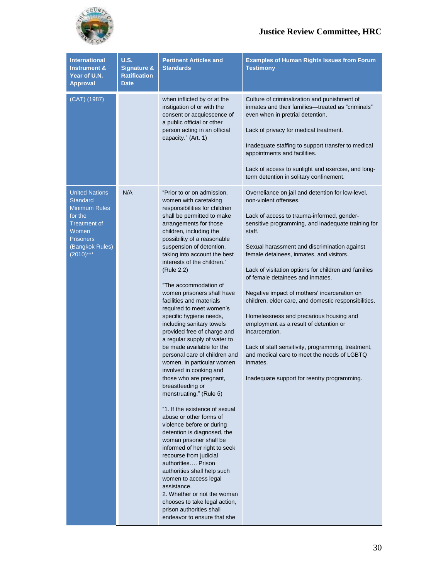

| <b>International</b><br><b>Instrument &amp;</b><br>Year of U.N.<br><b>Approval</b>                                                                                | U.S.<br><b>Signature &amp;</b><br><b>Ratification</b><br><b>Date</b> | <b>Pertinent Articles and</b><br><b>Standards</b>                                                                                                                                                                                                                                                                                                                                                                                                                                                                                                                                                                                                                                                                                                                                                                                                                                                                                                                                                                                                                                                                                                                                             | <b>Examples of Human Rights Issues from Forum</b><br><b>Testimony</b>                                                                                                                                                                                                                                                                                                                                                                                                                                                                                                                                                                                                                                                                                           |
|-------------------------------------------------------------------------------------------------------------------------------------------------------------------|----------------------------------------------------------------------|-----------------------------------------------------------------------------------------------------------------------------------------------------------------------------------------------------------------------------------------------------------------------------------------------------------------------------------------------------------------------------------------------------------------------------------------------------------------------------------------------------------------------------------------------------------------------------------------------------------------------------------------------------------------------------------------------------------------------------------------------------------------------------------------------------------------------------------------------------------------------------------------------------------------------------------------------------------------------------------------------------------------------------------------------------------------------------------------------------------------------------------------------------------------------------------------------|-----------------------------------------------------------------------------------------------------------------------------------------------------------------------------------------------------------------------------------------------------------------------------------------------------------------------------------------------------------------------------------------------------------------------------------------------------------------------------------------------------------------------------------------------------------------------------------------------------------------------------------------------------------------------------------------------------------------------------------------------------------------|
| (CAT) (1987)                                                                                                                                                      |                                                                      | when inflicted by or at the<br>instigation of or with the<br>consent or acquiescence of<br>a public official or other<br>person acting in an official<br>capacity." (Art. 1)                                                                                                                                                                                                                                                                                                                                                                                                                                                                                                                                                                                                                                                                                                                                                                                                                                                                                                                                                                                                                  | Culture of criminalization and punishment of<br>inmates and their families-treated as "criminals"<br>even when in pretrial detention.<br>Lack of privacy for medical treatment.<br>Inadequate staffing to support transfer to medical<br>appointments and facilities.<br>Lack of access to sunlight and exercise, and long-<br>term detention in solitary confinement.                                                                                                                                                                                                                                                                                                                                                                                          |
| <b>United Nations</b><br><b>Standard</b><br><b>Minimum Rules</b><br>for the<br><b>Treatment of</b><br>Women<br><b>Prisoners</b><br>(Bangkok Rules)<br>$(2010)***$ | N/A                                                                  | "Prior to or on admission,<br>women with caretaking<br>responsibilities for children<br>shall be permitted to make<br>arrangements for those<br>children, including the<br>possibility of a reasonable<br>suspension of detention,<br>taking into account the best<br>interests of the children."<br>(Rule 2.2)<br>"The accommodation of<br>women prisoners shall have<br>facilities and materials<br>required to meet women's<br>specific hygiene needs,<br>including sanitary towels<br>provided free of charge and<br>a regular supply of water to<br>be made available for the<br>personal care of children and<br>women, in particular women<br>involved in cooking and<br>those who are pregnant,<br>breastfeeding or<br>menstruating." (Rule 5)<br>"1. If the existence of sexual<br>abuse or other forms of<br>violence before or during<br>detention is diagnosed, the<br>woman prisoner shall be<br>informed of her right to seek<br>recourse from judicial<br>authorities Prison<br>authorities shall help such<br>women to access legal<br>assistance.<br>2. Whether or not the woman<br>chooses to take legal action,<br>prison authorities shall<br>endeavor to ensure that she | Overreliance on jail and detention for low-level,<br>non-violent offenses.<br>Lack of access to trauma-informed, gender-<br>sensitive programming, and inadequate training for<br>staff.<br>Sexual harassment and discrimination against<br>female detainees, inmates, and visitors.<br>Lack of visitation options for children and families<br>of female detainees and inmates.<br>Negative impact of mothers' incarceration on<br>children, elder care, and domestic responsibilities.<br>Homelessness and precarious housing and<br>employment as a result of detention or<br>incarceration.<br>Lack of staff sensitivity, programming, treatment,<br>and medical care to meet the needs of LGBTQ<br>inmates.<br>Inadequate support for reentry programming. |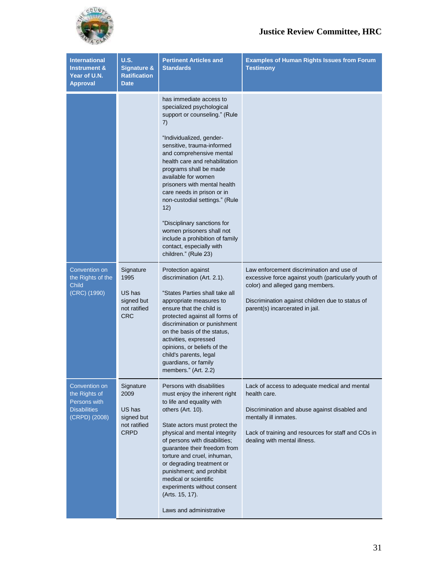

| <b>International</b><br><b>Instrument &amp;</b><br>Year of U.N.<br><b>Approval</b>     | <b>U.S.</b><br><b>Signature &amp;</b><br><b>Ratification</b><br><b>Date</b> | <b>Pertinent Articles and</b><br><b>Standards</b>                                                                                                                                                                                                                                                                                                                                                                                                                                                                              | <b>Examples of Human Rights Issues from Forum</b><br><b>Testimony</b>                                                                                                                                                          |
|----------------------------------------------------------------------------------------|-----------------------------------------------------------------------------|--------------------------------------------------------------------------------------------------------------------------------------------------------------------------------------------------------------------------------------------------------------------------------------------------------------------------------------------------------------------------------------------------------------------------------------------------------------------------------------------------------------------------------|--------------------------------------------------------------------------------------------------------------------------------------------------------------------------------------------------------------------------------|
|                                                                                        |                                                                             | has immediate access to<br>specialized psychological<br>support or counseling." (Rule<br>7)<br>"Individualized, gender-<br>sensitive, trauma-informed<br>and comprehensive mental<br>health care and rehabilitation<br>programs shall be made<br>available for women<br>prisoners with mental health<br>care needs in prison or in<br>non-custodial settings." (Rule<br>12)<br>"Disciplinary sanctions for<br>women prisoners shall not<br>include a prohibition of family<br>contact, especially with<br>children." (Rule 23) |                                                                                                                                                                                                                                |
| Convention on<br>the Rights of the<br><b>Child</b><br>(CRC) (1990)                     | Signature<br>1995<br>US has<br>signed but<br>not ratified<br><b>CRC</b>     | Protection against<br>discrimination (Art. 2.1).<br>"States Parties shall take all<br>appropriate measures to<br>ensure that the child is<br>protected against all forms of<br>discrimination or punishment<br>on the basis of the status,<br>activities, expressed<br>opinions, or beliefs of the<br>child's parents, legal<br>guardians, or family<br>members." (Art. 2.2)                                                                                                                                                   | Law enforcement discrimination and use of<br>excessive force against youth (particularly youth of<br>color) and alleged gang members.<br>Discrimination against children due to status of<br>parent(s) incarcerated in jail.   |
| Convention on<br>the Rights of<br>Persons with<br><b>Disabilities</b><br>(CRPD) (2008) | Signature<br>2009<br>US has<br>signed but<br>not ratified<br><b>CRPD</b>    | Persons with disabilities<br>must enjoy the inherent right<br>to life and equality with<br>others (Art. 10).<br>State actors must protect the<br>physical and mental integrity<br>of persons with disabilities;<br>guarantee their freedom from<br>torture and cruel, inhuman,<br>or degrading treatment or<br>punishment; and prohibit<br>medical or scientific<br>experiments without consent<br>(Arts. 15, 17).<br>Laws and administrative                                                                                  | Lack of access to adequate medical and mental<br>health care.<br>Discrimination and abuse against disabled and<br>mentally ill inmates.<br>Lack of training and resources for staff and COs in<br>dealing with mental illness. |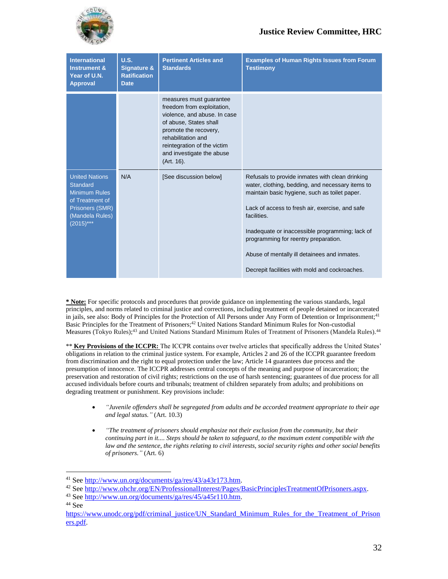

| <b>International</b><br><b>Instrument &amp;</b><br>Year of U.N.<br><b>Approval</b>                                                       | <b>U.S.</b><br><b>Signature &amp;</b><br><b>Ratification</b><br><b>Date</b> | <b>Pertinent Articles and</b><br><b>Standards</b>                                                                                                                                                                                        | <b>Examples of Human Rights Issues from Forum</b><br><b>Testimony</b>                                                                                                                                                                                                                                                                                                                                               |
|------------------------------------------------------------------------------------------------------------------------------------------|-----------------------------------------------------------------------------|------------------------------------------------------------------------------------------------------------------------------------------------------------------------------------------------------------------------------------------|---------------------------------------------------------------------------------------------------------------------------------------------------------------------------------------------------------------------------------------------------------------------------------------------------------------------------------------------------------------------------------------------------------------------|
|                                                                                                                                          |                                                                             | measures must guarantee<br>freedom from exploitation,<br>violence, and abuse. In case<br>of abuse, States shall<br>promote the recovery,<br>rehabilitation and<br>reintegration of the victim<br>and investigate the abuse<br>(Art. 16). |                                                                                                                                                                                                                                                                                                                                                                                                                     |
| <b>United Nations</b><br><b>Standard</b><br>Minimum Rules<br>of Treatment of<br><b>Prisoners (SMR)</b><br>(Mandela Rules)<br>$(2015)***$ | N/A                                                                         | [See discussion below]                                                                                                                                                                                                                   | Refusals to provide inmates with clean drinking<br>water, clothing, bedding, and necessary items to<br>maintain basic hygiene, such as toilet paper.<br>Lack of access to fresh air, exercise, and safe<br>facilities.<br>Inadequate or inaccessible programming; lack of<br>programming for reentry preparation.<br>Abuse of mentally ill detainees and inmates.<br>Decrepit facilities with mold and cockroaches. |

**\* Note:** For specific protocols and procedures that provide guidance on implementing the various standards, legal principles, and norms related to criminal justice and corrections, including treatment of people detained or incarcerated in jails, see also: Body of Principles for the Protection of All Persons under Any Form of Detention or Imprisonment;<sup>41</sup> Basic Principles for the Treatment of Prisoners; <sup>42</sup> United Nations Standard Minimum Rules for Non-custodial Measures (Tokyo Rules);<sup>43</sup> and United Nations Standard Minimum Rules of Treatment of Prisoners (Mandela Rules).<sup>44</sup>

\*\* **Key Provisions of the ICCPR:** The ICCPR contains over twelve articles that specifically address the United States' obligations in relation to the criminal justice system. For example, Articles 2 and 26 of the ICCPR guarantee freedom from discrimination and the right to equal protection under the law; Article 14 guarantees due process and the presumption of innocence. The ICCPR addresses central concepts of the meaning and purpose of incarceration; the preservation and restoration of civil rights; restrictions on the use of harsh sentencing; guarantees of due process for all accused individuals before courts and tribunals; treatment of children separately from adults; and prohibitions on degrading treatment or punishment. Key provisions include:

- *"Juvenile offenders shall be segregated from adults and be accorded treatment appropriate to their age and legal status."* (Art. 10.3)
- *"The treatment of prisoners should emphasize not their exclusion from the community, but their continuing part in it.... Steps should be taken to safeguard, to the maximum extent compatible with the law and the sentence, the rights relating to civil interests, social security rights and other social benefits of prisoners."* (Art. 6)

<sup>41</sup> See [http://www.un.org/documents/ga/res/43/a43r173.htm.](http://www.un.org/documents/ga/res/43/a43r173.htm)

<sup>42</sup> See [http://www.ohchr.org/EN/ProfessionalInterest/Pages/BasicPrinciplesTreatmentOfPrisoners.aspx.](http://www.ohchr.org/EN/ProfessionalInterest/Pages/BasicPrinciplesTreatmentOfPrisoners.aspx)

<sup>43</sup> See [http://www.un.org/documents/ga/res/45/a45r110.htm.](http://www.un.org/documents/ga/res/45/a45r110.htm)

<sup>44</sup> See

[https://www.unodc.org/pdf/criminal\\_justice/UN\\_Standard\\_Minimum\\_Rules\\_for\\_the\\_Treatment\\_of\\_Prison](https://www.unodc.org/pdf/criminal_justice/UN_Standard_Minimum_Rules_for_the_Treatment_of_Prisoners.pdf) [ers.pdf.](https://www.unodc.org/pdf/criminal_justice/UN_Standard_Minimum_Rules_for_the_Treatment_of_Prisoners.pdf)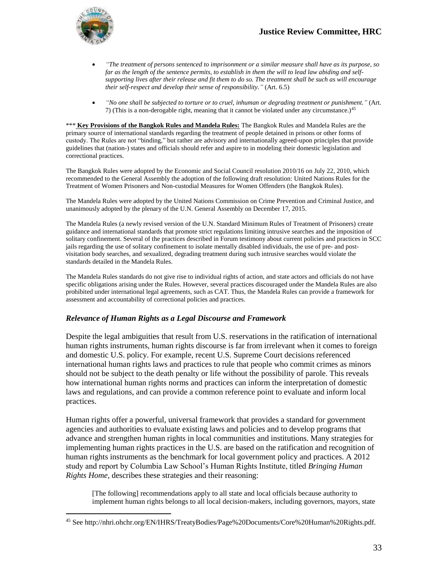

 $\overline{a}$ 

- *"The treatment of persons sentenced to imprisonment or a similar measure shall have as its purpose, so*  far as the length of the sentence permits, to establish in them the will to lead law abiding and self*supporting lives after their release and fit them to do so. The treatment shall be such as will encourage their self-respect and develop their sense of responsibility."* (Art. 6.5)
- *"No one shall be subjected to torture or to cruel, inhuman or degrading treatment or punishment."* (Art. 7) (This is a non-derogable right, meaning that it cannot be violated under any circumstance.)<sup>45</sup>

\*\*\* **Key Provisions of the Bangkok Rules and Mandela Rules:** The Bangkok Rules and Mandela Rules are the primary source of international standards regarding the treatment of people detained in prisons or other forms of custody. The Rules are not "binding," but rather are advisory and internationally agreed-upon principles that provide guidelines that (nation-) states and officials should refer and aspire to in modeling their domestic legislation and correctional practices.

The Bangkok Rules were adopted by the Economic and Social Council resolution 2010/16 on July 22, 2010, which recommended to the General Assembly the adoption of the following draft resolution: United Nations Rules for the Treatment of Women Prisoners and Non-custodial Measures for Women Offenders (the Bangkok Rules).

The Mandela Rules were adopted by the United Nations Commission on Crime Prevention and Criminal Justice, and unanimously adopted by the plenary of the U.N. General Assembly on December 17, 2015.

The Mandela Rules (a newly revised version of the U.N. Standard Minimum Rules of Treatment of Prisoners) create guidance and international standards that promote strict regulations limiting intrusive searches and the imposition of solitary confinement. Several of the practices described in Forum testimony about current policies and practices in SCC jails regarding the use of solitary confinement to isolate mentally disabled individuals, the use of pre- and postvisitation body searches, and sexualized, degrading treatment during such intrusive searches would violate the standards detailed in the Mandela Rules.

The Mandela Rules standards do not give rise to individual rights of action, and state actors and officials do not have specific obligations arising under the Rules. However, several practices discouraged under the Mandela Rules are also prohibited under international legal agreements, such as CAT. Thus, the Mandela Rules can provide a framework for assessment and accountability of correctional policies and practices.

#### *Relevance of Human Rights as a Legal Discourse and Framework*

Despite the legal ambiguities that result from U.S. reservations in the ratification of international human rights instruments, human rights discourse is far from irrelevant when it comes to foreign and domestic U.S. policy. For example, recent U.S. Supreme Court decisions referenced international human rights laws and practices to rule that people who commit crimes as minors should not be subject to the death penalty or life without the possibility of parole. This reveals how international human rights norms and practices can inform the interpretation of domestic laws and regulations, and can provide a common reference point to evaluate and inform local practices.

Human rights offer a powerful, universal framework that provides a standard for government agencies and authorities to evaluate existing laws and policies and to develop programs that advance and strengthen human rights in local communities and institutions. Many strategies for implementing human rights practices in the U.S. are based on the ratification and recognition of human rights instruments as the benchmark for local government policy and practices. A 2012 study and report by Columbia Law School's Human Rights Institute, titled *Bringing Human Rights Home*, describes these strategies and their reasoning:

[The following] recommendations apply to all state and local officials because authority to implement human rights belongs to all local decision-makers, including governors, mayors, state

<sup>45</sup> See http://nhri.ohchr.org/EN/IHRS/TreatyBodies/Page%20Documents/Core%20Human%20Rights.pdf.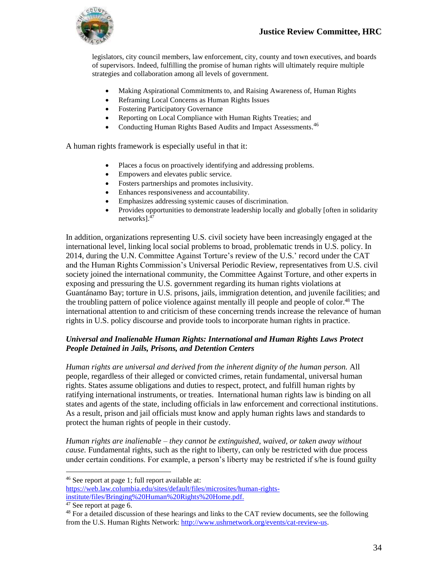legislators, city council members, law enforcement, city, county and town executives, and boards of supervisors. Indeed, fulfilling the promise of human rights will ultimately require multiple strategies and collaboration among all levels of government.

- Making Aspirational Commitments to, and Raising Awareness of, Human Rights
- Reframing Local Concerns as Human Rights Issues
- Fostering Participatory Governance
- Reporting on Local Compliance with Human Rights Treaties; and
- Conducting Human Rights Based Audits and Impact Assessments.<sup>46</sup>

A human rights framework is especially useful in that it:

- Places a focus on proactively identifying and addressing problems.
- Empowers and elevates public service.
- Fosters partnerships and promotes inclusivity.
- Enhances responsiveness and accountability.
- Emphasizes addressing systemic causes of discrimination.
- Provides opportunities to demonstrate leadership locally and globally [often in solidarity networks].<sup>47</sup>

In addition, organizations representing U.S. civil society have been increasingly engaged at the international level, linking local social problems to broad, problematic trends in U.S. policy. In 2014, during the U.N. Committee Against Torture's review of the U.S.' record under the CAT and the Human Rights Commission's Universal Periodic Review, representatives from U.S. civil society joined the international community, the Committee Against Torture, and other experts in exposing and pressuring the U.S. government regarding its human rights violations at Guantánamo Bay; torture in U.S. prisons, jails, immigration detention, and juvenile facilities; and the troubling pattern of police violence against mentally ill people and people of color. <sup>48</sup> The international attention to and criticism of these concerning trends increase the relevance of human rights in U.S. policy discourse and provide tools to incorporate human rights in practice.

#### *Universal and Inalienable Human Rights: International and Human Rights Laws Protect People Detained in Jails, Prisons, and Detention Centers*

*Human rights are universal and derived from the inherent dignity of the human person.* All people, regardless of their alleged or convicted crimes, retain fundamental, universal human rights. States assume obligations and duties to respect, protect, and fulfill human rights by ratifying international instruments, or treaties. International human rights law is binding on all states and agents of the state, including officials in law enforcement and correctional institutions. As a result, prison and jail officials must know and apply human rights laws and standards to protect the human rights of people in their custody.

*Human rights are inalienable* – *they cannot be extinguished, waived, or taken away without cause.* Fundamental rights, such as the right to liberty, can only be restricted with due process under certain conditions. For example, a person's liberty may be restricted if s/he is found guilty

<sup>46</sup> See report at page 1; full report available at:

[https://web.law.columbia.edu/sites/default/files/microsites/human-rights-](https://web.law.columbia.edu/sites/default/files/microsites/human-rights-institute/files/Bringing%20Human%20Rights%20Home.pdf)

[institute/files/Bringing%20Human%20Rights%20Home.pdf.](https://web.law.columbia.edu/sites/default/files/microsites/human-rights-institute/files/Bringing%20Human%20Rights%20Home.pdf)

<sup>47</sup> See report at page 6.

 $48$  For a detailed discussion of these hearings and links to the CAT review documents, see the following from the U.S. Human Rights Network: [http://www.ushrnetwork.org/events/cat-review-us.](http://www.ushrnetwork.org/events/cat-review-us)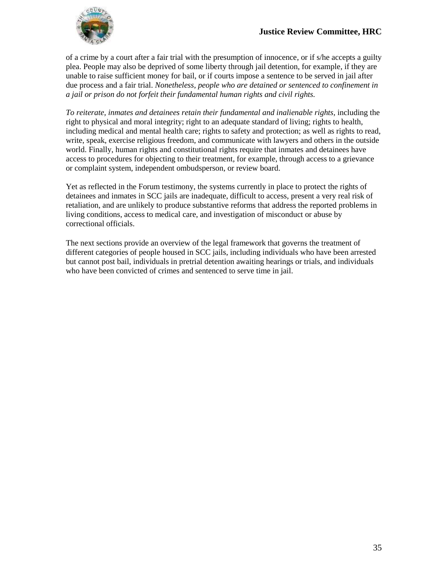

of a crime by a court after a fair trial with the presumption of innocence, or if s/he accepts a guilty plea. People may also be deprived of some liberty through jail detention, for example, if they are unable to raise sufficient money for bail, or if courts impose a sentence to be served in jail after due process and a fair trial. *Nonetheless, people who are detained or sentenced to confinement in a jail or prison do not forfeit their fundamental human rights and civil rights.*

*To reiterate, inmates and detainees retain their fundamental and inalienable rights,* including the right to physical and moral integrity; right to an adequate standard of living; rights to health, including medical and mental health care; rights to safety and protection; as well as rights to read, write, speak, exercise religious freedom, and communicate with lawyers and others in the outside world. Finally, human rights and constitutional rights require that inmates and detainees have access to procedures for objecting to their treatment, for example, through access to a grievance or complaint system, independent ombudsperson, or review board.

Yet as reflected in the Forum testimony, the systems currently in place to protect the rights of detainees and inmates in SCC jails are inadequate, difficult to access, present a very real risk of retaliation, and are unlikely to produce substantive reforms that address the reported problems in living conditions, access to medical care, and investigation of misconduct or abuse by correctional officials.

The next sections provide an overview of the legal framework that governs the treatment of different categories of people housed in SCC jails, including individuals who have been arrested but cannot post bail, individuals in pretrial detention awaiting hearings or trials, and individuals who have been convicted of crimes and sentenced to serve time in jail.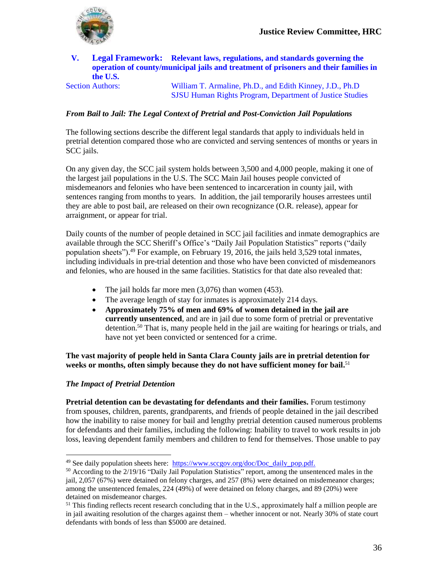

#### **V. Legal Framework: Relevant laws, regulations, and standards governing the operation of county/municipal jails and treatment of prisoners and their families in the U.S.**

Section Authors: William T. Armaline, Ph.D., and Edith Kinney, J.D., Ph.D SJSU Human Rights Program, Department of Justice Studies

#### *From Bail to Jail: The Legal Context of Pretrial and Post-Conviction Jail Populations*

The following sections describe the different legal standards that apply to individuals held in pretrial detention compared those who are convicted and serving sentences of months or years in SCC jails.

On any given day, the SCC jail system holds between 3,500 and 4,000 people, making it one of the largest jail populations in the U.S. The SCC Main Jail houses people convicted of misdemeanors and felonies who have been sentenced to incarceration in county jail, with sentences ranging from months to years. In addition, the jail temporarily houses arrestees until they are able to post bail, are released on their own recognizance (O.R. release), appear for arraignment, or appear for trial.

Daily counts of the number of people detained in SCC jail facilities and inmate demographics are available through the SCC Sheriff's Office's "Daily Jail Population Statistics" reports ("daily population sheets").<sup>49</sup> For example, on February 19, 2016, the jails held 3,529 total inmates, including individuals in pre-trial detention and those who have been convicted of misdemeanors and felonies, who are housed in the same facilities. Statistics for that date also revealed that:

- The jail holds far more men  $(3,076)$  than women  $(453)$ .
- The average length of stay for inmates is approximately 214 days.
- **Approximately 75% of men and 69% of women detained in the jail are currently unsentenced**, and are in jail due to some form of pretrial or preventative detention.<sup>50</sup> That is, many people held in the jail are waiting for hearings or trials, and have not yet been convicted or sentenced for a crime.

**The vast majority of people held in Santa Clara County jails are in pretrial detention for weeks or months, often simply because they do not have sufficient money for bail.** 51

#### *The Impact of Pretrial Detention*

 $\overline{a}$ 

**Pretrial detention can be devastating for defendants and their families.** Forum testimony from spouses, children, parents, grandparents, and friends of people detained in the jail described how the inability to raise money for bail and lengthy pretrial detention caused numerous problems for defendants and their families, including the following: Inability to travel to work results in job loss, leaving dependent family members and children to fend for themselves. Those unable to pay

<sup>&</sup>lt;sup>49</sup> See daily population sheets here: [https://www.sccgov.org/doc/Doc\\_daily\\_pop.pdf.](https://www.sccgov.org/doc/Doc_daily_pop.pdf)

<sup>&</sup>lt;sup>50</sup> According to the 2/19/16 "Daily Jail Population Statistics" report, among the unsentenced males in the jail, 2,057 (67%) were detained on felony charges, and 257 (8%) were detained on misdemeanor charges; among the unsentenced females, 224 (49%) of were detained on felony charges, and 89 (20%) were detained on misdemeanor charges.

<sup>&</sup>lt;sup>51</sup> This finding reflects recent research concluding that in the U.S., approximately half a million people are in jail awaiting resolution of the charges against them – whether innocent or not. Nearly 30% of state court defendants with bonds of less than \$5000 are detained.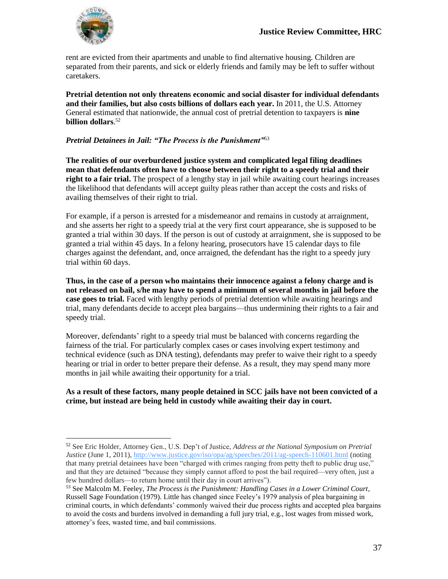

 $\overline{a}$ 

rent are evicted from their apartments and unable to find alternative housing. Children are separated from their parents, and sick or elderly friends and family may be left to suffer without caretakers.

**Pretrial detention not only threatens economic and social disaster for individual defendants and their families, but also costs billions of dollars each year.** In 2011, the U.S. Attorney General estimated that nationwide, the annual cost of pretrial detention to taxpayers is **nine billion dollars**. 52

#### *Pretrial Detainees in Jail: "The Process is the Punishment"*<sup>53</sup>

**The realities of our overburdened justice system and complicated legal filing deadlines mean that defendants often have to choose between their right to a speedy trial and their right to a fair trial.** The prospect of a lengthy stay in jail while awaiting court hearings increases the likelihood that defendants will accept guilty pleas rather than accept the costs and risks of availing themselves of their right to trial.

For example, if a person is arrested for a misdemeanor and remains in custody at arraignment, and she asserts her right to a speedy trial at the very first court appearance, she is supposed to be granted a trial within 30 days. If the person is out of custody at arraignment, she is supposed to be granted a trial within 45 days. In a felony hearing, prosecutors have 15 calendar days to file charges against the defendant, and, once arraigned, the defendant has the right to a speedy jury trial within 60 days.

**Thus, in the case of a person who maintains their innocence against a felony charge and is not released on bail, s/he may have to spend a minimum of several months in jail before the case goes to trial.** Faced with lengthy periods of pretrial detention while awaiting hearings and trial, many defendants decide to accept plea bargains—thus undermining their rights to a fair and speedy trial.

Moreover, defendants' right to a speedy trial must be balanced with concerns regarding the fairness of the trial. For particularly complex cases or cases involving expert testimony and technical evidence (such as DNA testing), defendants may prefer to waive their right to a speedy hearing or trial in order to better prepare their defense. As a result, they may spend many more months in jail while awaiting their opportunity for a trial.

#### **As a result of these factors, many people detained in SCC jails have not been convicted of a crime, but instead are being held in custody while awaiting their day in court.**

<sup>52</sup> See Eric Holder, Attorney Gen., U.S. Dep't of Justice, *Address at the National Symposium on Pretrial Justice* (June 1, 2011), <http://www.justice.gov/iso/opa/ag/speeches/2011/ag-speech-110601.html> (noting that many pretrial detainees have been "charged with crimes ranging from petty theft to public drug use," and that they are detained "because they simply cannot afford to post the bail required—very often, just a few hundred dollars—to return home until their day in court arrives").

<sup>53</sup> See Malcolm M. Feeley, *The Process is the Punishment: Handling Cases in a Lower Criminal Court*, Russell Sage Foundation (1979). Little has changed since Feeley's 1979 analysis of plea bargaining in criminal courts, in which defendants' commonly waived their due process rights and accepted plea bargains to avoid the costs and burdens involved in demanding a full jury trial, e.g., lost wages from missed work, attorney's fees, wasted time, and bail commissions.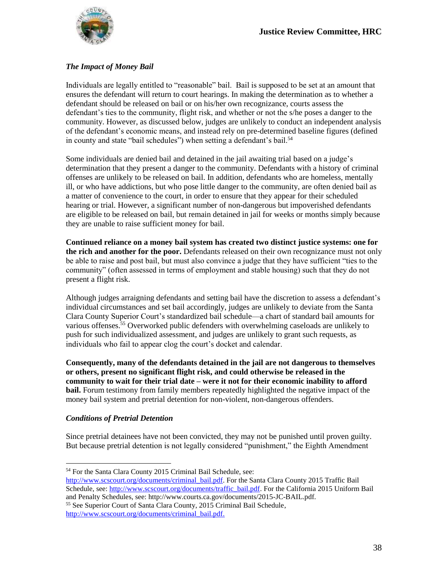

#### *The Impact of Money Bail*

Individuals are legally entitled to "reasonable" bail. Bail is supposed to be set at an amount that ensures the defendant will return to court hearings. In making the determination as to whether a defendant should be released on bail or on his/her own recognizance, courts assess the defendant's ties to the community, flight risk, and whether or not the s/he poses a danger to the community. However, as discussed below, judges are unlikely to conduct an independent analysis of the defendant's economic means, and instead rely on pre-determined baseline figures (defined in county and state "bail schedules") when setting a defendant's bail.<sup>54</sup>

Some individuals are denied bail and detained in the jail awaiting trial based on a judge's determination that they present a danger to the community. Defendants with a history of criminal offenses are unlikely to be released on bail. In addition, defendants who are homeless, mentally ill, or who have addictions, but who pose little danger to the community, are often denied bail as a matter of convenience to the court, in order to ensure that they appear for their scheduled hearing or trial. However, a significant number of non-dangerous but impoverished defendants are eligible to be released on bail, but remain detained in jail for weeks or months simply because they are unable to raise sufficient money for bail.

**Continued reliance on a money bail system has created two distinct justice systems: one for the rich and another for the poor.** Defendants released on their own recognizance must not only be able to raise and post bail, but must also convince a judge that they have sufficient "ties to the community" (often assessed in terms of employment and stable housing) such that they do not present a flight risk.

Although judges arraigning defendants and setting bail have the discretion to assess a defendant's individual circumstances and set bail accordingly, judges are unlikely to deviate from the Santa Clara County Superior Court's standardized bail schedule—a chart of standard bail amounts for various offenses.<sup>55</sup> Overworked public defenders with overwhelming caseloads are unlikely to push for such individualized assessment, and judges are unlikely to grant such requests, as individuals who fail to appear clog the court's docket and calendar.

**Consequently, many of the defendants detained in the jail are not dangerous to themselves or others, present no significant flight risk, and could otherwise be released in the community to wait for their trial date – were it not for their economic inability to afford bail.** Forum testimony from family members repeatedly highlighted the negative impact of the money bail system and pretrial detention for non-violent, non-dangerous offenders.

#### *Conditions of Pretrial Detention*

 $\overline{a}$ 

Since pretrial detainees have not been convicted, they may not be punished until proven guilty. But because pretrial detention is not legally considered "punishment," the Eighth Amendment

[http://www.scscourt.org/documents/criminal\\_bail.pdf.](http://www.scscourt.org/documents/criminal_bail.pdf) For the Santa Clara County 2015 Traffic Bail Schedule, see[: http://www.scscourt.org/documents/traffic\\_bail.pdf.](http://www.scscourt.org/documents/traffic_bail.pdf) For the California 2015 Uniform Bail and Penalty Schedules, see: http://www.courts.ca.gov/documents/2015-JC-BAIL.pdf.

<sup>55</sup> See Superior Court of Santa Clara County, 2015 Criminal Bail Schedule, [http://www.scscourt.org/documents/criminal\\_bail.pdf.](http://www.scscourt.org/documents/criminal_bail.pdf)

<sup>54</sup> For the Santa Clara County 2015 Criminal Bail Schedule, see: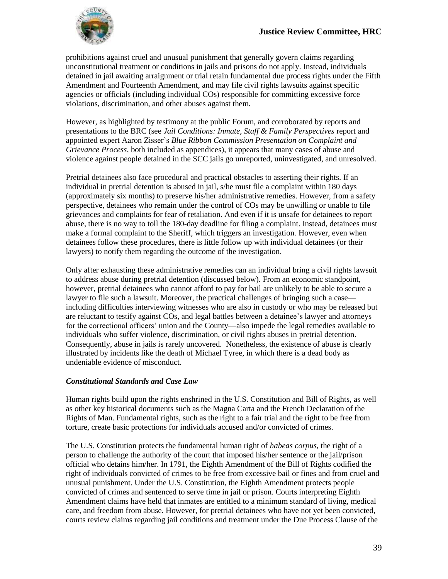

prohibitions against cruel and unusual punishment that generally govern claims regarding unconstitutional treatment or conditions in jails and prisons do not apply. Instead, individuals detained in jail awaiting arraignment or trial retain fundamental due process rights under the Fifth Amendment and Fourteenth Amendment, and may file civil rights lawsuits against specific agencies or officials (including individual COs) responsible for committing excessive force violations, discrimination, and other abuses against them.

However, as highlighted by testimony at the public Forum, and corroborated by reports and presentations to the BRC (see *Jail Conditions: Inmate, Staff & Family Perspectives* report and appointed expert Aaron Zisser's *Blue Ribbon Commission Presentation on Complaint and Grievance Process*, both included as appendices), it appears that many cases of abuse and violence against people detained in the SCC jails go unreported, uninvestigated, and unresolved.

Pretrial detainees also face procedural and practical obstacles to asserting their rights. If an individual in pretrial detention is abused in jail, s/he must file a complaint within 180 days (approximately six months) to preserve his/her administrative remedies. However, from a safety perspective, detainees who remain under the control of COs may be unwilling or unable to file grievances and complaints for fear of retaliation. And even if it is unsafe for detainees to report abuse, there is no way to toll the 180-day deadline for filing a complaint. Instead, detainees must make a formal complaint to the Sheriff, which triggers an investigation. However, even when detainees follow these procedures, there is little follow up with individual detainees (or their lawyers) to notify them regarding the outcome of the investigation.

Only after exhausting these administrative remedies can an individual bring a civil rights lawsuit to address abuse during pretrial detention (discussed below). From an economic standpoint, however, pretrial detainees who cannot afford to pay for bail are unlikely to be able to secure a lawyer to file such a lawsuit. Moreover, the practical challenges of bringing such a case including difficulties interviewing witnesses who are also in custody or who may be released but are reluctant to testify against COs, and legal battles between a detainee's lawyer and attorneys for the correctional officers' union and the County—also impede the legal remedies available to individuals who suffer violence, discrimination, or civil rights abuses in pretrial detention. Consequently, abuse in jails is rarely uncovered. Nonetheless, the existence of abuse is clearly illustrated by incidents like the death of Michael Tyree, in which there is a dead body as undeniable evidence of misconduct.

#### *Constitutional Standards and Case Law*

Human rights build upon the rights enshrined in the U.S. Constitution and Bill of Rights, as well as other key historical documents such as the Magna Carta and the French Declaration of the Rights of Man. Fundamental rights, such as the right to a fair trial and the right to be free from torture, create basic protections for individuals accused and/or convicted of crimes.

The U.S. Constitution protects the fundamental human right of *habeas corpus*, the right of a person to challenge the authority of the court that imposed his/her sentence or the jail/prison official who detains him/her. In 1791, the Eighth Amendment of the Bill of Rights codified the right of individuals convicted of crimes to be free from excessive bail or fines and from cruel and unusual punishment. Under the U.S. Constitution, the Eighth Amendment protects people convicted of crimes and sentenced to serve time in jail or prison. Courts interpreting Eighth Amendment claims have held that inmates are entitled to a minimum standard of living, medical care, and freedom from abuse. However, for pretrial detainees who have not yet been convicted, courts review claims regarding jail conditions and treatment under the Due Process Clause of the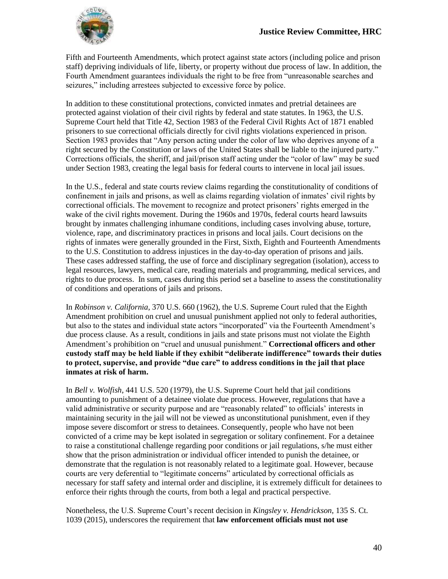

Fifth and Fourteenth Amendments, which protect against state actors (including police and prison staff) depriving individuals of life, liberty, or property without due process of law. In addition, the Fourth Amendment guarantees individuals the right to be free from "unreasonable searches and seizures," including arrestees subjected to excessive force by police.

In addition to these constitutional protections, convicted inmates and pretrial detainees are protected against violation of their civil rights by federal and state statutes. In 1963, the U.S. Supreme Court held that Title 42, Section 1983 of the Federal Civil Rights Act of 1871 enabled prisoners to sue correctional officials directly for civil rights violations experienced in prison. Section 1983 provides that "Any person acting under the color of law who deprives anyone of a right secured by the Constitution or laws of the United States shall be liable to the injured party." Corrections officials, the sheriff, and jail/prison staff acting under the "color of law" may be sued under Section 1983, creating the legal basis for federal courts to intervene in local jail issues.

In the U.S., federal and state courts review claims regarding the constitutionality of conditions of confinement in jails and prisons, as well as claims regarding violation of inmates' civil rights by correctional officials. The movement to recognize and protect prisoners' rights emerged in the wake of the civil rights movement. During the 1960s and 1970s, federal courts heard lawsuits brought by inmates challenging inhumane conditions, including cases involving abuse, torture, violence, rape, and discriminatory practices in prisons and local jails. Court decisions on the rights of inmates were generally grounded in the First, Sixth, Eighth and Fourteenth Amendments to the U.S. Constitution to address injustices in the day-to-day operation of prisons and jails. These cases addressed staffing, the use of force and disciplinary segregation (isolation), access to legal resources, lawyers, medical care, reading materials and programming, medical services, and rights to due process. In sum, cases during this period set a baseline to assess the constitutionality of conditions and operations of jails and prisons.

In *Robinson v. California*, 370 U.S. 660 (1962), the U.S. Supreme Court ruled that the Eighth Amendment prohibition on cruel and unusual punishment applied not only to federal authorities, but also to the states and individual state actors "incorporated" via the Fourteenth Amendment's due process clause. As a result, conditions in jails and state prisons must not violate the Eighth Amendment's prohibition on "cruel and unusual punishment." **Correctional officers and other custody staff may be held liable if they exhibit "deliberate indifference" towards their duties to protect, supervise, and provide "due care" to address conditions in the jail that place inmates at risk of harm.**

In *Bell v. Wolfish*, 441 U.S. 520 (1979), the U.S. Supreme Court held that jail conditions amounting to punishment of a detainee violate due process. However, regulations that have a valid administrative or security purpose and are "reasonably related" to officials' interests in maintaining security in the jail will not be viewed as unconstitutional punishment, even if they impose severe discomfort or stress to detainees. Consequently, people who have not been convicted of a crime may be kept isolated in segregation or solitary confinement. For a detainee to raise a constitutional challenge regarding poor conditions or jail regulations, s/he must either show that the prison administration or individual officer intended to punish the detainee, or demonstrate that the regulation is not reasonably related to a legitimate goal. However, because courts are very deferential to "legitimate concerns" articulated by correctional officials as necessary for staff safety and internal order and discipline, it is extremely difficult for detainees to enforce their rights through the courts, from both a legal and practical perspective.

Nonetheless, the U.S. Supreme Court's recent decision in *Kingsley v. Hendrickson*, 135 S. Ct. 1039 (2015), underscores the requirement that **law enforcement officials must not use**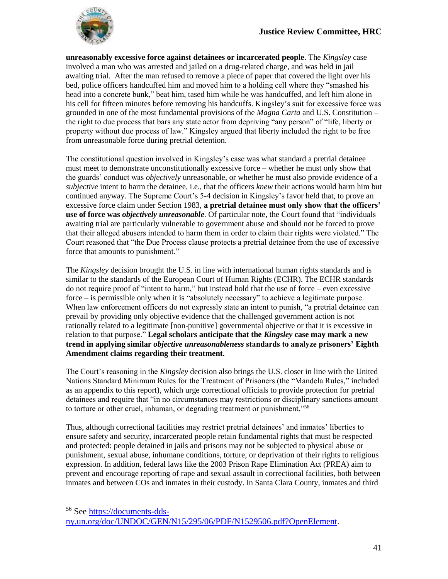

 $\overline{a}$ 

**unreasonably excessive force against detainees or incarcerated people**. The *Kingsley* case involved a man who was arrested and jailed on a drug-related charge, and was held in jail awaiting trial. After the man refused to remove a piece of paper that covered the light over his bed, police officers handcuffed him and moved him to a holding cell where they "smashed his head into a concrete bunk," beat him, tased him while he was handcuffed, and left him alone in his cell for fifteen minutes before removing his handcuffs. Kingsley's suit for excessive force was grounded in one of the most fundamental provisions of the *Magna Carta* and U.S. Constitution – the right to due process that bars any state actor from depriving "any person" of "life, liberty or property without due process of law." Kingsley argued that liberty included the right to be free from unreasonable force during pretrial detention.

The constitutional question involved in Kingsley's case was what standard a pretrial detainee must meet to demonstrate unconstitutionally excessive force – whether he must only show that the guards' conduct was *objectively* unreasonable, or whether he must also provide evidence of a *subjective* intent to harm the detainee, i.e., that the officers *knew* their actions would harm him but continued anyway. The Supreme Court's 5-4 decision in Kingsley's favor held that, to prove an excessive force claim under Section 1983, **a pretrial detainee must only show that the officers' use of force was** *objectively unreasonable*. Of particular note, the Court found that "individuals awaiting trial are particularly vulnerable to government abuse and should not be forced to prove that their alleged abusers intended to harm them in order to claim their rights were violated." The Court reasoned that "the Due Process clause protects a pretrial detainee from the use of excessive force that amounts to punishment."

The *Kingsley* decision brought the U.S. in line with international human rights standards and is similar to the standards of the European Court of Human Rights (ECHR). The ECHR standards do not require proof of "intent to harm," but instead hold that the use of force – even excessive force – is permissible only when it is "absolutely necessary" to achieve a legitimate purpose. When law enforcement officers do not expressly state an intent to punish, "a pretrial detainee can prevail by providing only objective evidence that the challenged government action is not rationally related to a legitimate [non-punitive] governmental objective or that it is excessive in relation to that purpose." **Legal scholars anticipate that the** *Kingsley* **case may mark a new trend in applying similar** *objective unreasonableness* **standards to analyze prisoners' Eighth Amendment claims regarding their treatment.**

The Court's reasoning in the *Kingsley* decision also brings the U.S. closer in line with the United Nations Standard Minimum Rules for the Treatment of Prisoners (the "Mandela Rules," included as an appendix to this report), which urge correctional officials to provide protection for pretrial detainees and require that "in no circumstances may restrictions or disciplinary sanctions amount to torture or other cruel, inhuman, or degrading treatment or punishment."<sup>56</sup>

Thus, although correctional facilities may restrict pretrial detainees' and inmates' liberties to ensure safety and security, incarcerated people retain fundamental rights that must be respected and protected: people detained in jails and prisons may not be subjected to physical abuse or punishment, sexual abuse, inhumane conditions, torture, or deprivation of their rights to religious expression. In addition, federal laws like the 2003 Prison Rape Elimination Act (PREA) aim to prevent and encourage reporting of rape and sexual assault in correctional facilities, both between inmates and between COs and inmates in their custody. In Santa Clara County, inmates and third

<sup>56</sup> See [https://documents-dds](https://documents-dds-ny.un.org/doc/UNDOC/GEN/N15/295/06/PDF/N1529506.pdf?OpenElement)[ny.un.org/doc/UNDOC/GEN/N15/295/06/PDF/N1529506.pdf?OpenElement.](https://documents-dds-ny.un.org/doc/UNDOC/GEN/N15/295/06/PDF/N1529506.pdf?OpenElement)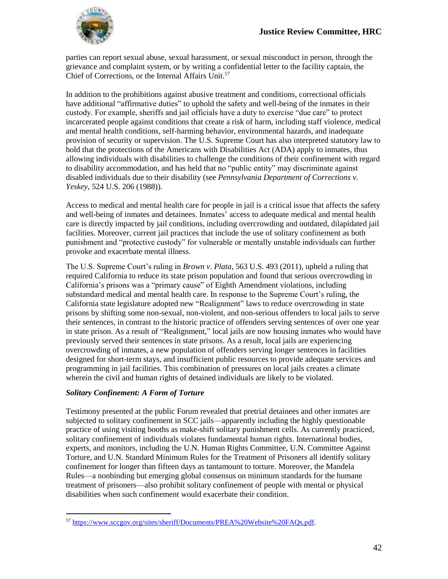

parties can report sexual abuse, sexual harassment, or sexual misconduct in person, through the grievance and complaint system, or by writing a confidential letter to the facility captain, the Chief of Corrections, or the Internal Affairs Unit.<sup>57</sup>

In addition to the prohibitions against abusive treatment and conditions, correctional officials have additional "affirmative duties" to uphold the safety and well-being of the inmates in their custody. For example, sheriffs and jail officials have a duty to exercise "due care" to protect incarcerated people against conditions that create a risk of harm, including staff violence, medical and mental health conditions, self-harming behavior, environmental hazards, and inadequate provision of security or supervision. The U.S. Supreme Court has also interpreted statutory law to hold that the protections of the Americans with Disabilities Act (ADA) apply to inmates, thus allowing individuals with disabilities to challenge the conditions of their confinement with regard to disability accommodation, and has held that no "public entity" may discriminate against disabled individuals due to their disability (see *Pennsylvania Department of Corrections v. Yeskey*, 524 U.S. 206 (1988)).

Access to medical and mental health care for people in jail is a critical issue that affects the safety and well-being of inmates and detainees. Inmates' access to adequate medical and mental health care is directly impacted by jail conditions, including overcrowding and outdated, dilapidated jail facilities. Moreover, current jail practices that include the use of solitary confinement as both punishment and "protective custody" for vulnerable or mentally unstable individuals can further provoke and exacerbate mental illness.

The U.S. Supreme Court's ruling in *Brown v. Plata*, 563 U.S. 493 (2011), upheld a ruling that required California to reduce its state prison population and found that serious overcrowding in California's prisons was a "primary cause" of Eighth Amendment violations, including substandard medical and mental health care. In response to the Supreme Court's ruling, the California state legislature adopted new "Realignment" laws to reduce overcrowding in state prisons by shifting some non-sexual, non-violent, and non-serious offenders to local jails to serve their sentences, in contrast to the historic practice of offenders serving sentences of over one year in state prison. As a result of "Realignment," local jails are now housing inmates who would have previously served their sentences in state prisons. As a result, local jails are experiencing overcrowding of inmates, a new population of offenders serving longer sentences in facilities designed for short-term stays, and insufficient public resources to provide adequate services and programming in jail facilities. This combination of pressures on local jails creates a climate wherein the civil and human rights of detained individuals are likely to be violated.

#### *Solitary Confinement: A Form of Torture*

 $\overline{a}$ 

Testimony presented at the public Forum revealed that pretrial detainees and other inmates are subjected to solitary confinement in SCC jails—apparently including the highly questionable practice of using visiting booths as make-shift solitary punishment cells. As currently practiced, solitary confinement of individuals violates fundamental human rights. International bodies, experts, and monitors, including the U.N. Human Rights Committee, U.N. Committee Against Torture, and U.N. Standard Minimum Rules for the Treatment of Prisoners all identify solitary confinement for longer than fifteen days as tantamount to torture. Moreover, the Mandela Rules—a nonbinding but emerging global consensus on minimum standards for the humane treatment of prisoners—also prohibit solitary confinement of people with mental or physical disabilities when such confinement would exacerbate their condition.

<sup>57</sup> [https://www.sccgov.org/sites/sheriff/Documents/PREA%20Website%20FAQs.pdf.](https://www.sccgov.org/sites/sheriff/Documents/PREA%20Website%20FAQs.pdf)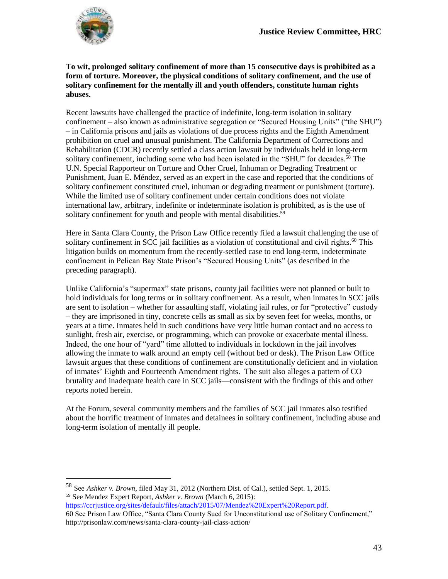

 $\overline{a}$ 

#### **To wit, prolonged solitary confinement of more than 15 consecutive days is prohibited as a form of torture. Moreover, the physical conditions of solitary confinement, and the use of solitary confinement for the mentally ill and youth offenders, constitute human rights abuses.**

Recent lawsuits have challenged the practice of indefinite, long-term isolation in solitary confinement – also known as administrative segregation or "Secured Housing Units" ("the SHU") – in California prisons and jails as violations of due process rights and the Eighth Amendment prohibition on cruel and unusual punishment. The California Department of Corrections and Rehabilitation (CDCR) recently settled a class action lawsuit by individuals held in long-term solitary confinement, including some who had been isolated in the "SHU" for decades.<sup>58</sup> The U.N. Special Rapporteur on Torture and Other Cruel, Inhuman or Degrading Treatment or Punishment, Juan E. Méndez, served as an expert in the case and reported that the conditions of solitary confinement constituted cruel, inhuman or degrading treatment or punishment (torture). While the limited use of solitary confinement under certain conditions does not violate international law, arbitrary, indefinite or indeterminate isolation is prohibited, as is the use of solitary confinement for youth and people with mental disabilities.<sup>59</sup>

Here in Santa Clara County, the Prison Law Office recently filed a lawsuit challenging the use of solitary confinement in SCC jail facilities as a violation of constitutional and civil rights.<sup>60</sup> This litigation builds on momentum from the recently-settled case to end long-term, indeterminate confinement in Pelican Bay State Prison's "Secured Housing Units" (as described in the preceding paragraph).

Unlike California's "supermax" state prisons, county jail facilities were not planned or built to hold individuals for long terms or in solitary confinement. As a result, when inmates in SCC jails are sent to isolation – whether for assaulting staff, violating jail rules, or for "protective" custody – they are imprisoned in tiny, concrete cells as small as six by seven feet for weeks, months, or years at a time. Inmates held in such conditions have very little human contact and no access to sunlight, fresh air, exercise, or programming, which can provoke or exacerbate mental illness. Indeed, the one hour of "yard" time allotted to individuals in lockdown in the jail involves allowing the inmate to walk around an empty cell (without bed or desk). The Prison Law Office lawsuit argues that these conditions of confinement are constitutionally deficient and in violation of inmates' Eighth and Fourteenth Amendment rights. The suit also alleges a pattern of CO brutality and inadequate health care in SCC jails—consistent with the findings of this and other reports noted herein.

At the Forum, several community members and the families of SCC jail inmates also testified about the horrific treatment of inmates and detainees in solitary confinement, including abuse and long-term isolation of mentally ill people.

[https://ccrjustice.org/sites/default/files/attach/2015/07/Mendez%20Expert%20Report.pdf.](https://ccrjustice.org/sites/default/files/attach/2015/07/Mendez%20Expert%20Report.pdf) 60 See Prison Law Office, "Santa Clara County Sued for Unconstitutional use of Solitary Confinement," <http://prisonlaw.com/news/santa-clara-county-jail-class-action/>

<sup>58</sup> See *Ashker v. Brown*, filed May 31, 2012 (Northern Dist. of Cal.), settled Sept. 1, 2015. <sup>59</sup> See Mendez Expert Report, *Ashker v. Brown* (March 6, 2015):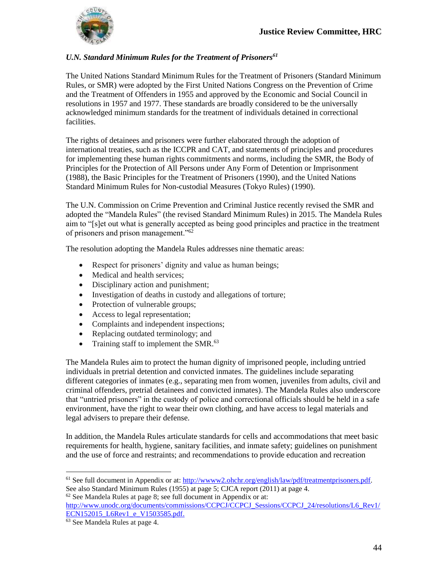

#### *U.N. Standard Minimum Rules for the Treatment of Prisoners<sup>61</sup>*

The United Nations Standard Minimum Rules for the Treatment of Prisoners (Standard Minimum Rules, or SMR) were adopted by the First United Nations Congress on the Prevention of Crime and the Treatment of Offenders in 1955 and approved by the Economic and Social Council in resolutions in 1957 and 1977. These standards are broadly considered to be the universally acknowledged minimum standards for the treatment of individuals detained in correctional facilities.

The rights of detainees and prisoners were further elaborated through the adoption of international treaties, such as the ICCPR and CAT, and statements of principles and procedures for implementing these human rights commitments and norms, including the SMR, the Body of Principles for the Protection of All Persons under Any Form of Detention or Imprisonment (1988), the Basic Principles for the Treatment of Prisoners (1990), and the United Nations Standard Minimum Rules for Non-custodial Measures (Tokyo Rules) (1990).

The U.N. Commission on Crime Prevention and Criminal Justice recently revised the SMR and adopted the "Mandela Rules" (the revised Standard Minimum Rules) in 2015. The Mandela Rules aim to "[s]et out what is generally accepted as being good principles and practice in the treatment of prisoners and prison management."<sup>62</sup>

The resolution adopting the Mandela Rules addresses nine thematic areas:

- Respect for prisoners' dignity and value as human beings;
- Medical and health services;
- Disciplinary action and punishment;
- Investigation of deaths in custody and allegations of torture;
- Protection of vulnerable groups;
- Access to legal representation;
- Complaints and independent inspections;
- Replacing outdated terminology; and
- Training staff to implement the SMR. $^{63}$

The Mandela Rules aim to protect the human dignity of imprisoned people, including untried individuals in pretrial detention and convicted inmates. The guidelines include separating different categories of inmates (e.g., separating men from women, juveniles from adults, civil and criminal offenders, pretrial detainees and convicted inmates). The Mandela Rules also underscore that "untried prisoners" in the custody of police and correctional officials should be held in a safe environment, have the right to wear their own clothing, and have access to legal materials and legal advisers to prepare their defense.

In addition, the Mandela Rules articulate standards for cells and accommodations that meet basic requirements for health, hygiene, sanitary facilities, and inmate safety; guidelines on punishment and the use of force and restraints; and recommendations to provide education and recreation

 $62$  See Mandela Rules at page 8; see full document in Appendix or at:

[http://www.unodc.org/documents/commissions/CCPCJ/CCPCJ\\_Sessions/CCPCJ\\_24/resolutions/L6\\_Rev1/](http://www.unodc.org/documents/commissions/CCPCJ/CCPCJ_Sessions/CCPCJ_24/resolutions/L6_Rev1/ECN152015_L6Rev1_e_V1503585.pdf) [ECN152015\\_L6Rev1\\_e\\_V1503585.pdf.](http://www.unodc.org/documents/commissions/CCPCJ/CCPCJ_Sessions/CCPCJ_24/resolutions/L6_Rev1/ECN152015_L6Rev1_e_V1503585.pdf)

<sup>61</sup> See full document in Appendix or at: [http://wwww2.ohchr.org/english/law/pdf/treatmentprisoners.pdf.](http://wwww2.ohchr.org/english/law/pdf/treatmentprisoners.pdf) See also Standard Minimum Rules (1955) at page 5; CJCA report (2011) at page 4.

<sup>63</sup> See Mandela Rules at page 4.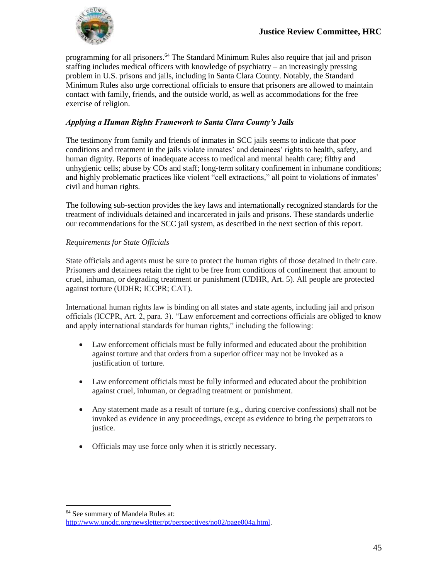

programming for all prisoners.<sup>64</sup> The Standard Minimum Rules also require that jail and prison staffing includes medical officers with knowledge of psychiatry – an increasingly pressing problem in U.S. prisons and jails, including in Santa Clara County. Notably, the Standard Minimum Rules also urge correctional officials to ensure that prisoners are allowed to maintain contact with family, friends, and the outside world, as well as accommodations for the free exercise of religion.

#### *Applying a Human Rights Framework to Santa Clara County's Jails*

The testimony from family and friends of inmates in SCC jails seems to indicate that poor conditions and treatment in the jails violate inmates' and detainees' rights to health, safety, and human dignity. Reports of inadequate access to medical and mental health care; filthy and unhygienic cells; abuse by COs and staff; long-term solitary confinement in inhumane conditions; and highly problematic practices like violent "cell extractions," all point to violations of inmates' civil and human rights.

The following sub-section provides the key laws and internationally recognized standards for the treatment of individuals detained and incarcerated in jails and prisons. These standards underlie our recommendations for the SCC jail system, as described in the next section of this report.

#### *Requirements for State Officials*

State officials and agents must be sure to protect the human rights of those detained in their care. Prisoners and detainees retain the right to be free from conditions of confinement that amount to cruel, inhuman, or degrading treatment or punishment (UDHR, Art. 5). All people are protected against torture (UDHR; ICCPR; CAT).

International human rights law is binding on all states and state agents, including jail and prison officials (ICCPR, Art. 2, para. 3). "Law enforcement and corrections officials are obliged to know and apply international standards for human rights," including the following:

- Law enforcement officials must be fully informed and educated about the prohibition against torture and that orders from a superior officer may not be invoked as a justification of torture.
- Law enforcement officials must be fully informed and educated about the prohibition against cruel, inhuman, or degrading treatment or punishment.
- Any statement made as a result of torture (e.g., during coercive confessions) shall not be invoked as evidence in any proceedings, except as evidence to bring the perpetrators to justice.
- Officials may use force only when it is strictly necessary.

<sup>64</sup> See summary of Mandela Rules at:

[http://www.unodc.org/newsletter/pt/perspectives/no02/page004a.html.](http://www.unodc.org/newsletter/pt/perspectives/no02/page004a.html)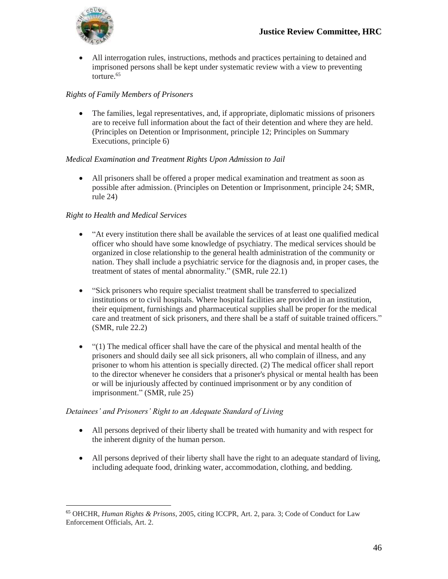

 All interrogation rules, instructions, methods and practices pertaining to detained and imprisoned persons shall be kept under systematic review with a view to preventing torture.<sup>65</sup>

### *Rights of Family Members of Prisoners*

 The families, legal representatives, and, if appropriate, diplomatic missions of prisoners are to receive full information about the fact of their detention and where they are held. (Principles on Detention or Imprisonment, principle 12; Principles on Summary Executions, principle 6)

#### *Medical Examination and Treatment Rights Upon Admission to Jail*

 All prisoners shall be offered a proper medical examination and treatment as soon as possible after admission. (Principles on Detention or Imprisonment, principle 24; SMR, rule 24)

#### *Right to Health and Medical Services*

- "At every institution there shall be available the services of at least one qualified medical officer who should have some knowledge of psychiatry. The medical services should be organized in close relationship to the general health administration of the community or nation. They shall include a psychiatric service for the diagnosis and, in proper cases, the treatment of states of mental abnormality." (SMR, rule 22.1)
- "Sick prisoners who require specialist treatment shall be transferred to specialized institutions or to civil hospitals. Where hospital facilities are provided in an institution, their equipment, furnishings and pharmaceutical supplies shall be proper for the medical care and treatment of sick prisoners, and there shall be a staff of suitable trained officers." (SMR, rule 22.2)
- "(1) The medical officer shall have the care of the physical and mental health of the prisoners and should daily see all sick prisoners, all who complain of illness, and any prisoner to whom his attention is specially directed. (2) The medical officer shall report to the director whenever he considers that a prisoner's physical or mental health has been or will be injuriously affected by continued imprisonment or by any condition of imprisonment." (SMR, rule 25)

#### *Detainees' and Prisoners' Right to an Adequate Standard of Living*

- All persons deprived of their liberty shall be treated with humanity and with respect for the inherent dignity of the human person.
- All persons deprived of their liberty shall have the right to an adequate standard of living, including adequate food, drinking water, accommodation, clothing, and bedding.

 $\overline{a}$ <sup>65</sup> OHCHR, *Human Rights & Prisons*, 2005, citing ICCPR, Art. 2, para. 3; Code of Conduct for Law Enforcement Officials, Art. 2.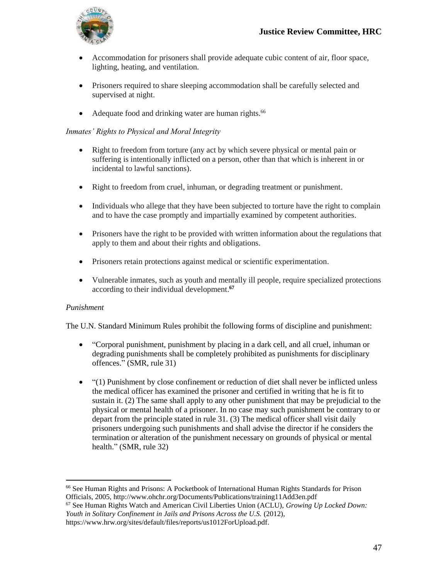

- Accommodation for prisoners shall provide adequate cubic content of air, floor space, lighting, heating, and ventilation.
- Prisoners required to share sleeping accommodation shall be carefully selected and supervised at night.
- $\bullet$  Adequate food and drinking water are human rights.<sup>66</sup>

#### *Inmates' Rights to Physical and Moral Integrity*

- Right to freedom from torture (any act by which severe physical or mental pain or suffering is intentionally inflicted on a person, other than that which is inherent in or incidental to lawful sanctions).
- Right to freedom from cruel, inhuman, or degrading treatment or punishment.
- Individuals who allege that they have been subjected to torture have the right to complain and to have the case promptly and impartially examined by competent authorities.
- Prisoners have the right to be provided with written information about the regulations that apply to them and about their rights and obligations.
- Prisoners retain protections against medical or scientific experimentation.
- Vulnerable inmates, such as youth and mentally ill people, require specialized protections according to their individual development. **67**

#### *Punishment*

 $\overline{a}$ 

The U.N. Standard Minimum Rules prohibit the following forms of discipline and punishment:

- "Corporal punishment, punishment by placing in a dark cell, and all cruel, inhuman or degrading punishments shall be completely prohibited as punishments for disciplinary offences." (SMR, rule 31)
- "(1) Punishment by close confinement or reduction of diet shall never be inflicted unless the medical officer has examined the prisoner and certified in writing that he is fit to sustain it. (2) The same shall apply to any other punishment that may be prejudicial to the physical or mental health of a prisoner. In no case may such punishment be contrary to or depart from the principle stated in rule 31. (3) The medical officer shall visit daily prisoners undergoing such punishments and shall advise the director if he considers the termination or alteration of the punishment necessary on grounds of physical or mental health." (SMR, rule 32)

<sup>66</sup> See Human Rights and Prisons: A Pocketbook of International Human Rights Standards for Prison Officials, 2005, http://www.ohchr.org/Documents/Publications/training11Add3en.pdf

<sup>67</sup> See Human Rights Watch and American Civil Liberties Union (ACLU), *Growing Up Locked Down: Youth in Solitary Confinement in Jails and Prisons Across the U.S.* (2012), https://www.hrw.org/sites/default/files/reports/us1012ForUpload.pdf.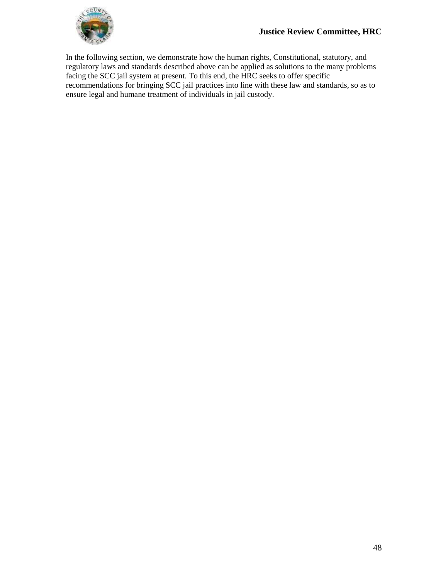

In the following section, we demonstrate how the human rights, Constitutional, statutory, and regulatory laws and standards described above can be applied as solutions to the many problems facing the SCC jail system at present. To this end, the HRC seeks to offer specific recommendations for bringing SCC jail practices into line with these law and standards, so as to ensure legal and humane treatment of individuals in jail custody.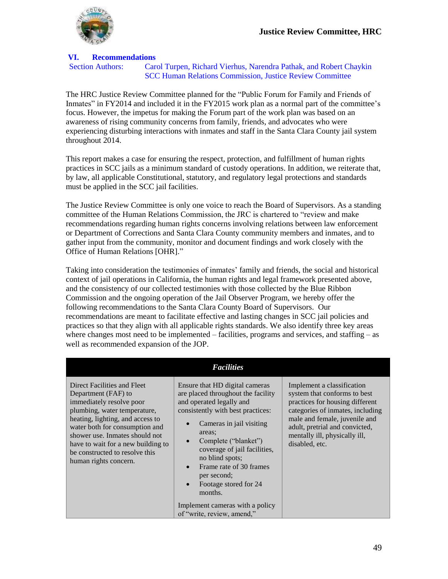

#### **VI. Recommendations**

Section Authors: Carol Turpen, Richard Vierhus, Narendra Pathak, and Robert Chaykin SCC Human Relations Commission, Justice Review Committee

The HRC Justice Review Committee planned for the "Public Forum for Family and Friends of Inmates" in FY2014 and included it in the FY2015 work plan as a normal part of the committee's focus. However, the impetus for making the Forum part of the work plan was based on an awareness of rising community concerns from family, friends, and advocates who were experiencing disturbing interactions with inmates and staff in the Santa Clara County jail system throughout 2014.

This report makes a case for ensuring the respect, protection, and fulfillment of human rights practices in SCC jails as a minimum standard of custody operations. In addition, we reiterate that, by law, all applicable Constitutional, statutory, and regulatory legal protections and standards must be applied in the SCC jail facilities.

The Justice Review Committee is only one voice to reach the Board of Supervisors. As a standing committee of the Human Relations Commission, the JRC is chartered to "review and make recommendations regarding human rights concerns involving relations between law enforcement or Department of Corrections and Santa Clara County community members and inmates, and to gather input from the community, monitor and document findings and work closely with the Office of Human Relations [OHR]."

Taking into consideration the testimonies of inmates' family and friends, the social and historical context of jail operations in California, the human rights and legal framework presented above, and the consistency of our collected testimonies with those collected by the Blue Ribbon Commission and the ongoing operation of the Jail Observer Program, we hereby offer the following recommendations to the Santa Clara County Board of Supervisors. Our recommendations are meant to facilitate effective and lasting changes in SCC jail policies and practices so that they align with all applicable rights standards. We also identify three key areas where changes most need to be implemented – facilities, programs and services, and staffing – as well as recommended expansion of the JOP.

|                                                                                                                                                                                                                                                                                                                         | <b>Facilities</b>                                                                                                                                                                                                                                                                                                                    |                                                                                                                                                                                                                                                         |
|-------------------------------------------------------------------------------------------------------------------------------------------------------------------------------------------------------------------------------------------------------------------------------------------------------------------------|--------------------------------------------------------------------------------------------------------------------------------------------------------------------------------------------------------------------------------------------------------------------------------------------------------------------------------------|---------------------------------------------------------------------------------------------------------------------------------------------------------------------------------------------------------------------------------------------------------|
| Direct Facilities and Fleet<br>Department (FAF) to<br>immediately resolve poor<br>plumbing, water temperature,<br>heating, lighting, and access to<br>water both for consumption and<br>shower use. Inmates should not<br>have to wait for a new building to<br>be constructed to resolve this<br>human rights concern. | Ensure that HD digital cameras<br>are placed throughout the facility<br>and operated legally and<br>consistently with best practices:<br>Cameras in jail visiting<br>areas;<br>Complete ("blanket")<br>coverage of jail facilities,<br>no blind spots;<br>Frame rate of 30 frames<br>per second;<br>Footage stored for 24<br>months. | Implement a classification<br>system that conforms to best<br>practices for housing different<br>categories of inmates, including<br>male and female, juvenile and<br>adult, pretrial and convicted,<br>mentally ill, physically ill,<br>disabled, etc. |
|                                                                                                                                                                                                                                                                                                                         | Implement cameras with a policy<br>of "write, review, amend,"                                                                                                                                                                                                                                                                        |                                                                                                                                                                                                                                                         |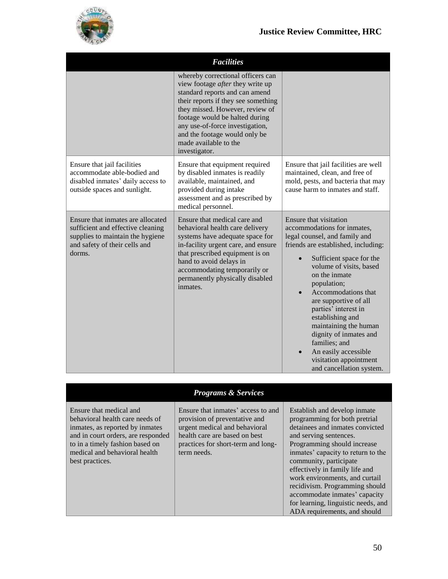

|                                                                                                                                                       | <b>Facilities</b>                                                                                                                                                                                                                                                                                                                 |                                                                                                                                                                                                                                                                                                                                                                                                                                                                    |
|-------------------------------------------------------------------------------------------------------------------------------------------------------|-----------------------------------------------------------------------------------------------------------------------------------------------------------------------------------------------------------------------------------------------------------------------------------------------------------------------------------|--------------------------------------------------------------------------------------------------------------------------------------------------------------------------------------------------------------------------------------------------------------------------------------------------------------------------------------------------------------------------------------------------------------------------------------------------------------------|
|                                                                                                                                                       | whereby correctional officers can<br>view footage after they write up<br>standard reports and can amend<br>their reports if they see something<br>they missed. However, review of<br>footage would be halted during<br>any use-of-force investigation,<br>and the footage would only be<br>made available to the<br>investigator. |                                                                                                                                                                                                                                                                                                                                                                                                                                                                    |
| Ensure that jail facilities<br>accommodate able-bodied and<br>disabled inmates' daily access to<br>outside spaces and sunlight.                       | Ensure that equipment required<br>by disabled inmates is readily<br>available, maintained, and<br>provided during intake<br>assessment and as prescribed by<br>medical personnel.                                                                                                                                                 | Ensure that jail facilities are well<br>maintained, clean, and free of<br>mold, pests, and bacteria that may<br>cause harm to inmates and staff.                                                                                                                                                                                                                                                                                                                   |
| Ensure that inmates are allocated<br>sufficient and effective cleaning<br>supplies to maintain the hygiene<br>and safety of their cells and<br>dorms. | Ensure that medical care and<br>behavioral health care delivery<br>systems have adequate space for<br>in-facility urgent care, and ensure<br>that prescribed equipment is on<br>hand to avoid delays in<br>accommodating temporarily or<br>permanently physically disabled<br>inmates.                                            | Ensure that visitation<br>accommodations for inmates,<br>legal counsel, and family and<br>friends are established, including:<br>Sufficient space for the<br>volume of visits, based<br>on the inmate<br>population;<br>Accommodations that<br>are supportive of all<br>parties' interest in<br>establishing and<br>maintaining the human<br>dignity of inmates and<br>families; and<br>An easily accessible<br>visitation appointment<br>and cancellation system. |

| <b>Programs &amp; Services</b> |  |  |  |
|--------------------------------|--|--|--|
|--------------------------------|--|--|--|

Ensure that medical and behavioral health care needs of inmates, as reported by inmates and in court orders, are responded to in a timely fashion based on medical and behavioral health best practices.

Ensure that inmates' access to and provision of preventative and urgent medical and behavioral health care are based on best practices for short-term and longterm needs.

Establish and develop inmate programming for both pretrial detainees and inmates convicted and serving sentences. Programming should increase inmates' capacity to return to the community, participate effectively in family life and work environments, and curtail recidivism. Programming should accommodate inmates' capacity for learning, linguistic needs, and ADA requirements, and should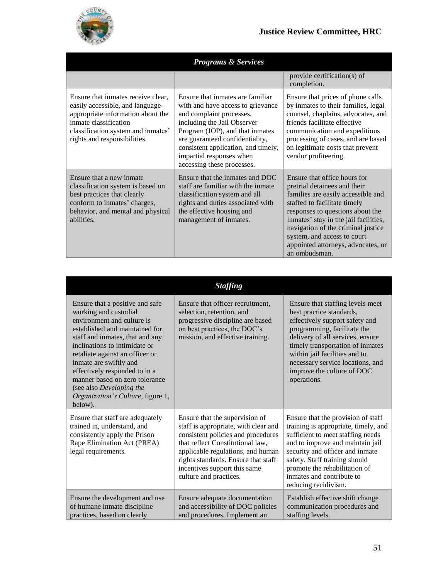

|                                                                                                                                                                                                            | <b>Programs &amp; Services</b>                                                                                                                                                                                                                                                                          |                                                                                                                                                                                                                                                                                                                                             |
|------------------------------------------------------------------------------------------------------------------------------------------------------------------------------------------------------------|---------------------------------------------------------------------------------------------------------------------------------------------------------------------------------------------------------------------------------------------------------------------------------------------------------|---------------------------------------------------------------------------------------------------------------------------------------------------------------------------------------------------------------------------------------------------------------------------------------------------------------------------------------------|
|                                                                                                                                                                                                            |                                                                                                                                                                                                                                                                                                         | provide certification(s) of<br>completion.                                                                                                                                                                                                                                                                                                  |
| Ensure that inmates receive clear,<br>easily accessible, and language-<br>appropriate information about the<br>inmate classification<br>classification system and inmates'<br>rights and responsibilities. | Ensure that inmates are familiar<br>with and have access to grievance<br>and complaint processes,<br>including the Jail Observer<br>Program (JOP), and that inmates<br>are guaranteed confidentiality,<br>consistent application, and timely,<br>impartial responses when<br>accessing these processes. | Ensure that prices of phone calls<br>by inmates to their families, legal<br>counsel, chaplains, advocates, and<br>friends facilitate effective<br>communication and expeditious<br>processing of cases, and are based<br>on legitimate costs that prevent<br>vendor profiteering.                                                           |
| Ensure that a new inmate<br>classification system is based on<br>best practices that clearly<br>conform to inmates' charges,<br>behavior, and mental and physical<br>abilities.                            | Ensure that the inmates and DOC<br>staff are familiar with the inmate<br>classification system and all<br>rights and duties associated with<br>the effective housing and<br>management of inmates.                                                                                                      | Ensure that office hours for<br>pretrial detainees and their<br>families are easily accessible and<br>staffed to facilitate timely<br>responses to questions about the<br>inmates' stay in the jail facilities,<br>navigation of the criminal justice<br>system, and access to court<br>appointed attorneys, advocates, or<br>an ombudsman. |

|                                                                                                                                                                                                                                                                                                                                                                                                          | <i><b>Staffing</b></i>                                                                                                                                                                                                                                                                 |                                                                                                                                                                                                                                                                                                                         |
|----------------------------------------------------------------------------------------------------------------------------------------------------------------------------------------------------------------------------------------------------------------------------------------------------------------------------------------------------------------------------------------------------------|----------------------------------------------------------------------------------------------------------------------------------------------------------------------------------------------------------------------------------------------------------------------------------------|-------------------------------------------------------------------------------------------------------------------------------------------------------------------------------------------------------------------------------------------------------------------------------------------------------------------------|
| Ensure that a positive and safe<br>working and custodial<br>environment and culture is<br>established and maintained for<br>staff and inmates, that and any<br>inclinations to intimidate or<br>retaliate against an officer or<br>inmate are swiftly and<br>effectively responded to in a<br>manner based on zero tolerance<br>(see also Developing the<br>Organization's Culture, figure 1,<br>below). | Ensure that officer recruitment,<br>selection, retention, and<br>progressive discipline are based<br>on best practices, the DOC's<br>mission, and effective training.                                                                                                                  | Ensure that staffing levels meet<br>best practice standards,<br>effectively support safety and<br>programming, facilitate the<br>delivery of all services, ensure<br>timely transportation of inmates<br>within jail facilities and to<br>necessary service locations, and<br>improve the culture of DOC<br>operations. |
| Ensure that staff are adequately<br>trained in, understand, and<br>consistently apply the Prison<br>Rape Elimination Act (PREA)<br>legal requirements.                                                                                                                                                                                                                                                   | Ensure that the supervision of<br>staff is appropriate, with clear and<br>consistent policies and procedures<br>that reflect Constitutional law,<br>applicable regulations, and human<br>rights standards. Ensure that staff<br>incentives support this same<br>culture and practices. | Ensure that the provision of staff<br>training is appropriate, timely, and<br>sufficient to meet staffing needs<br>and to improve and maintain jail<br>security and officer and inmate<br>safety. Staff training should<br>promote the rehabilitation of<br>inmates and contribute to<br>reducing recidivism.           |
| Ensure the development and use<br>of humane inmate discipline<br>practices, based on clearly                                                                                                                                                                                                                                                                                                             | Ensure adequate documentation<br>and accessibility of DOC policies<br>and procedures. Implement an                                                                                                                                                                                     | Establish effective shift change<br>communication procedures and<br>staffing levels.                                                                                                                                                                                                                                    |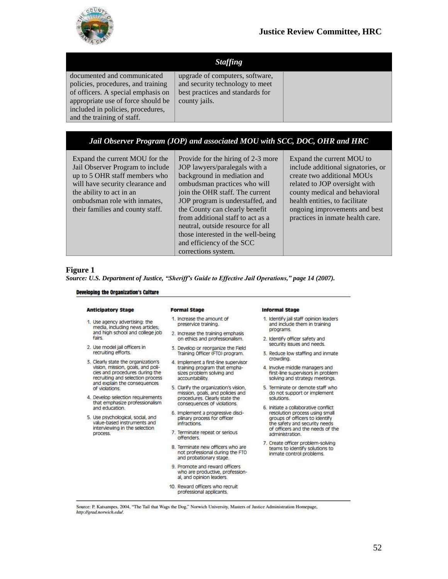

### *Staffing*

documented and communicated policies, procedures, and training of officers. A special emphasis on appropriate use of force should be included in policies, procedures, and the training of staff.

upgrade of computers, software, and security technology to meet best practices and standards for county jails.

### *Jail Observer Program (JOP) and associated MOU with SCC, DOC, OHR and HRC*

Expand the current MOU for the Jail Observer Program to include up to 5 OHR staff members who will have security clearance and the ability to act in an ombudsman role with inmates, their families and county staff.

Provide for the hiring of 2-3 more JOP lawyers/paralegals with a background in mediation and ombudsman practices who will join the OHR staff. The current JOP program is understaffed, and the County can clearly benefit from additional staff to act as a neutral, outside resource for all those interested in the well-being and efficiency of the SCC corrections system.

Expand the current MOU to include additional signatories, or create two additional MOUs related to JOP oversight with county medical and behavioral health entities, to facilitate ongoing improvements and best practices in inmate health care.

#### **Figure 1**

*Source: U.S. Department of Justice, "Sheriff's Guide to Effective Jail Operations," page 14 (2007).*

#### Developing the Organization's Culture

#### **Anticipatory Stage**

fairs

- 1. Use agency advertising: the media, including news articles;
	- and high school and college job
- 2. Use model jail officers in recruiting efforts.
- 3. Clearly state the organization's vision, mission, goals, and poli-<br>cles and procedures during the recruiting and selection process and explain the consequences of violations
- 4. Develop selection requirements that emphasize professionalism and education.
- 5. Use psychological, social, and value-based instruments and interviewing in the selection process.

#### **Formal Stage**

- 1. Increase the amount of preservice training.
- 2. Increase the training emphasis on ethics and professionalism.
- 3. Develop or reorganize the Field Training Officer (FTO) program.
- 4. Implement a first-line supervisor training program that empha-<br>sizes problem solving and accountability.
- 5. Clarify the organization's vision, mission, goals, and policies and procedures. Clearly state the consequences of violations.
- 6. Implement a progressive disciplinary process for officer infractions.
- 7. Terminate repeat or serious offenders.
- 8. Terminate new officers who are not professional during the FTO and probationary stage.
- 9. Promote and reward officers who are productive, professional, and opinion leaders
- 10. Reward officers who recruit professional applicants.

#### **Informal Stage**

- 1. Identify jail staff opinion leaders and include them in training programs.
- 2. Identify officer safety and security issues and needs.
- 3. Reduce low staffing and inmate crowding.
- 4. Involve middle managers and first-line supervisors in problem solving and strategy meetings.
- 5. Terminate or demote staff who do not support or implement solutions.
- 6. Initiate a collaborative conflict resolution process using small groups of officers to identify the safety and security needs of officers and the needs of the administration
- 7. Create officer problem-solving teams to identify solutions to inmate control problems.

Source: P. Katsampes, 2004, "The Tail that Wags the Dog," Norwich University, Masters of Justice Administration Homepage, http://grad.norwich.edu/.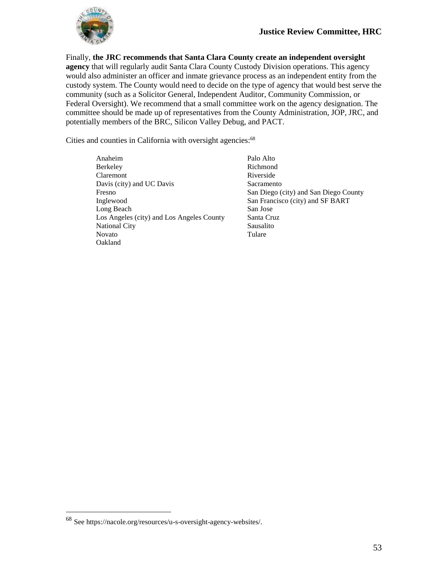

Finally, **the JRC recommends that Santa Clara County create an independent oversight agency** that will regularly audit Santa Clara County Custody Division operations. This agency would also administer an officer and inmate grievance process as an independent entity from the custody system. The County would need to decide on the type of agency that would best serve the community (such as a Solicitor General, Independent Auditor, Community Commission, or Federal Oversight). We recommend that a small committee work on the agency designation. The committee should be made up of representatives from the County Administration, JOP, JRC, and potentially members of the BRC, Silicon Valley Debug, and PACT.

Cities and counties in California with oversight agencies:<sup>68</sup>

- Anaheim Berkeley Claremont Davis (city) and UC Davis Fresno Inglewood Long Beach Los Angeles (city) and Los Angeles County National City Novato Oakland
- Palo Alto Richmond Riverside Sacramento San Diego (city) and San Diego County San Francisco (city) and SF BART San Jose Santa Cruz Sausalito Tulare

<sup>68</sup> See https://nacole.org/resources/u-s-oversight-agency-websites/.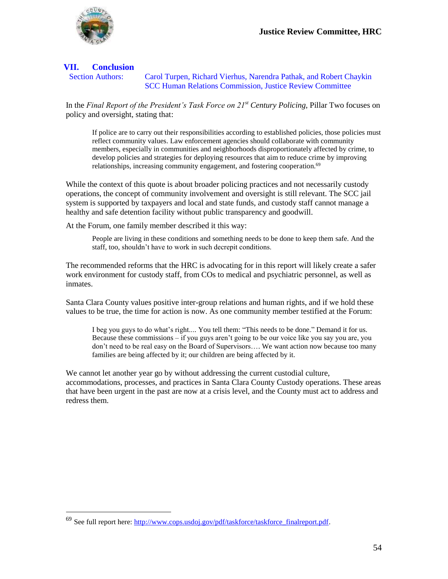

## **VII. Conclusion**

 $\overline{a}$ 

Section Authors: Carol Turpen, Richard Vierhus, Narendra Pathak, and Robert Chaykin SCC Human Relations Commission, Justice Review Committee

In the *Final Report of the President's Task Force on 21st Century Policing*, Pillar Two focuses on policy and oversight, stating that:

If police are to carry out their responsibilities according to established policies, those policies must reflect community values. Law enforcement agencies should collaborate with community members, especially in communities and neighborhoods disproportionately affected by crime, to develop policies and strategies for deploying resources that aim to reduce crime by improving relationships, increasing community engagement, and fostering cooperation.<sup>69</sup>

While the context of this quote is about broader policing practices and not necessarily custody operations, the concept of community involvement and oversight is still relevant. The SCC jail system is supported by taxpayers and local and state funds, and custody staff cannot manage a healthy and safe detention facility without public transparency and goodwill.

At the Forum, one family member described it this way:

People are living in these conditions and something needs to be done to keep them safe. And the staff, too, shouldn't have to work in such decrepit conditions.

The recommended reforms that the HRC is advocating for in this report will likely create a safer work environment for custody staff, from COs to medical and psychiatric personnel, as well as inmates.

Santa Clara County values positive inter-group relations and human rights, and if we hold these values to be true, the time for action is now. As one community member testified at the Forum:

I beg you guys to do what's right.... You tell them: "This needs to be done." Demand it for us. Because these commissions – if you guys aren't going to be our voice like you say you are, you don't need to be real easy on the Board of Supervisors…. We want action now because too many families are being affected by it; our children are being affected by it.

We cannot let another year go by without addressing the current custodial culture, accommodations, processes, and practices in Santa Clara County Custody operations. These areas that have been urgent in the past are now at a crisis level, and the County must act to address and redress them.

<sup>69</sup> See full report here: [http://www.cops.usdoj.gov/pdf/taskforce/taskforce\\_finalreport.pdf.](http://www.cops.usdoj.gov/pdf/taskforce/taskforce_finalreport.pdf)